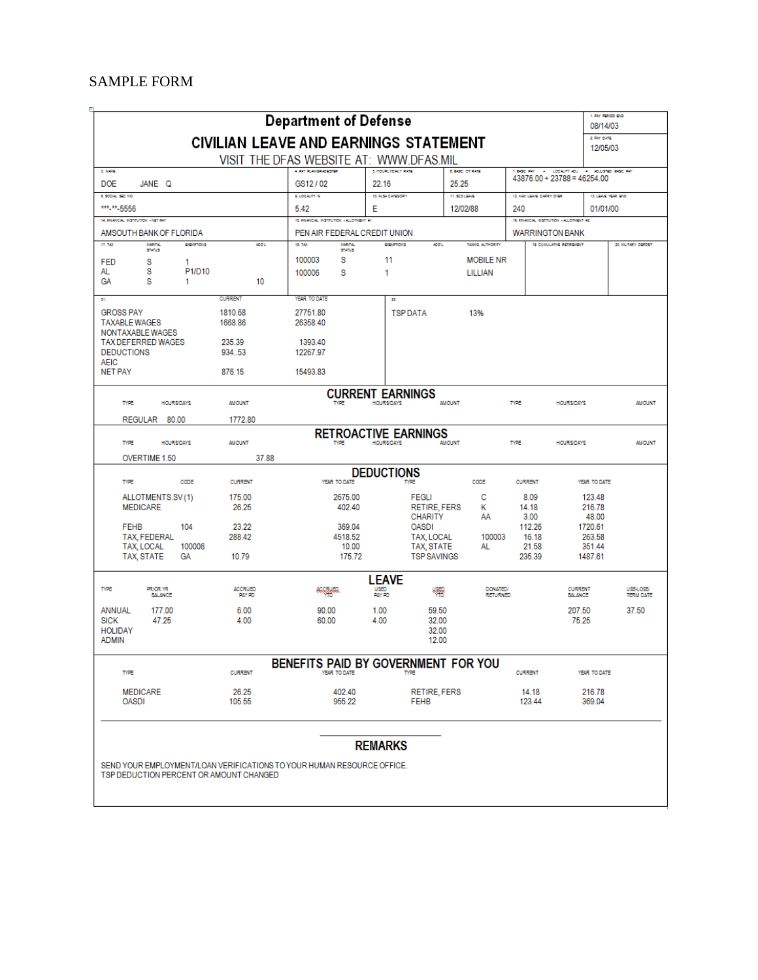#### <span id="page-0-0"></span>SAMPLE FORM

|                                                                            |                          | <b>Department of Defense</b>                                                            |                                                 |                                                       |                                   |                          | 1. PAY PERIOD END<br>08/14/03<br>2. PAY DATE                                    |                                      |
|----------------------------------------------------------------------------|--------------------------|-----------------------------------------------------------------------------------------|-------------------------------------------------|-------------------------------------------------------|-----------------------------------|--------------------------|---------------------------------------------------------------------------------|--------------------------------------|
|                                                                            |                          | <b>CIVILIAN LEAVE AND EARNINGS STATEMENT</b><br>VISIT THE DFAS WEBSITE AT: WWW.DFAS.MIL |                                                 |                                                       |                                   |                          | 12/05/03                                                                        |                                      |
| 3.888<br><b>DOE</b><br>JANE Q                                              |                          | 4. PAY PLANGRADESTEP<br>GS12/02                                                         | 5. HOURLYDALY RATE<br>22.16                     | <b>6. BASIC OT RATE</b><br>25.25                      |                                   |                          | T. BASIC PAY 4 LOCALITY ADJ . ADJUSTED BASIC PAY<br>43876 00 + 23788 = 46254 00 |                                      |
| 8. SOCIAL SEC NO.<br>*** <sub>**</sub> 5556                                |                          | <b>SLLDCALITY 10</b>                                                                    | 10. FLSA CATEGORY                               | 11. SCO LEAVE                                         |                                   | 12, MAX LEAVE CARRY OVER | 13. LEWIS YEAR OLD                                                              |                                      |
| 14. FINANCIAL INSTITUTION - NET PAY                                        |                          | 5.42<br>15. FINANCIAL INSTITUTION - ALLOTMENT #1                                        | Е                                               | 12/02/88                                              |                                   | 240                      | 01/01/00<br>15. FRANCIAL INSTITUTION - ALLOTMENT #2                             |                                      |
| AMSOUTH BANK OF FLORIDA                                                    |                          | PEN AIR FEDERAL CREDIT UNION                                                            |                                                 |                                                       |                                   |                          | <b>WARRINGTON BANK</b>                                                          |                                      |
| 17.188<br>MARTIN,<br><b>EXEMPTIONS</b><br><b>STATUS</b>                    | ADD1.                    | 18, 198<br><b>MARITAL</b><br><b>STATUS</b>                                              | <b>COMPTIONS</b>                                | ADD'L                                                 | TAXING AUTHORITY                  |                          | 19. CUMULATIVE RETREMENT                                                        | 20. MILITARY DEPOSIT                 |
| <b>FED</b><br>s<br>1<br>s<br>P1/D10<br>AL<br>s<br>GA<br>1                  | 10                       | 100003<br>s<br>S<br>100006                                                              | 11<br>1                                         |                                                       | <b>MOBILE NR</b><br>LILLIAN       |                          |                                                                                 |                                      |
| 26.                                                                        | <b>CURRENT</b>           | YEAR TO DATE                                                                            | n                                               |                                                       |                                   |                          |                                                                                 |                                      |
| <b>GROSS PAY</b><br><b>TAXABLE WAGES</b><br>NONTAXABLE WAGES               | 1810.68<br>1668.86       | 27751.80<br>26358.40                                                                    |                                                 | <b>TSPDATA</b>                                        | 13%                               |                          |                                                                                 |                                      |
| <b>TAX DEFERRED WAGES</b><br><b>DEDUCTIONS</b><br><b>AEIC</b>              | 235.39<br>934.53         | 1393.40<br>12267.97                                                                     |                                                 |                                                       |                                   |                          |                                                                                 |                                      |
| <b>NET PAY</b>                                                             | 876.15                   | 15493.83                                                                                |                                                 |                                                       |                                   |                          |                                                                                 |                                      |
| TYPE<br><b>HOURS/DAYS</b>                                                  | <b>AMOUNT</b>            | TYPE                                                                                    | <b>CURRENT EARNINGS</b><br><b>HOURSDAYS</b>     | <b>AMOUNT</b>                                         |                                   | <b>TYPE</b>              | <b>HOURS/DAYS</b>                                                               | <b>AMOUNT</b>                        |
| REGULAR 80.00                                                              | 1772.80                  |                                                                                         |                                                 |                                                       |                                   |                          |                                                                                 |                                      |
| <b>TYPE</b><br><b>HOURSDAYS</b><br>OVERTIME 1.50                           | <b>AMOUNT</b><br>37.88   | <b>TYPE</b>                                                                             | <b>RETROACTIVE EARNINGS</b><br><b>HOURSDAYS</b> | <b>AMOUNT</b>                                         |                                   | TYPE                     | <b>HOURSDAYS</b>                                                                | <b>MIOUNT</b>                        |
|                                                                            |                          |                                                                                         | <b>DEDUCTIONS</b>                               |                                                       |                                   |                          |                                                                                 |                                      |
| TYPE<br>CODE                                                               | <b>CURRENT</b>           | YEAR TO DATE                                                                            |                                                 | <b>TYPE</b>                                           | CODE                              | <b>CURRENT</b>           | YEAR TO DATE                                                                    |                                      |
| ALLOTMENTS.SV(1)<br><b>MEDICARE</b>                                        | 175.00<br>26.25          | 2675.00<br>402.40                                                                       |                                                 | <b>FEGLI</b><br><b>RETIRE, FERS</b><br><b>CHARITY</b> | c<br>κ<br>AA                      | 8.09<br>14.18<br>3.00    | 123.48<br>216.78<br>48.00                                                       |                                      |
| <b>FEHB</b><br>104                                                         | 23.22                    | 369.04                                                                                  |                                                 | <b>OASDI</b>                                          |                                   | 112.26                   | 1720.61                                                                         |                                      |
| TAX, FEDERAL<br>TAX, LOCAL<br>100006<br>TAX, STATE<br>GA                   | 288.42<br>10.79          | 4518.52<br>10.00<br>175.72                                                              |                                                 | TAX, LOCAL<br>TAX, STATE<br><b>TSP SAVINGS</b>        | 100003<br>AL                      | 16.18<br>21.58<br>235.39 | 263.58<br>351.44<br>1487.61                                                     |                                      |
|                                                                            |                          |                                                                                         | <b>LEAVE</b>                                    |                                                       |                                   |                          |                                                                                 |                                      |
| TYPE<br><b>PRIOR YR</b><br><b>BALANCE</b>                                  | <b>ACCRUED</b><br>PAY PD | <b>Reception</b>                                                                        | USED<br>PAY PD                                  | 뺴                                                     | <b>DONATED</b><br><b>RETURNED</b> |                          | <b>CURRENT</b><br><b>BALANCE</b>                                                | <b>USE-LOSE/</b><br><b>TERM DATE</b> |
| 177.00<br>ANNUAL<br>47.25<br><b>SICK</b><br><b>HOLIDAY</b><br><b>ADMIN</b> | 6.00<br>4.00             | 90.00<br>60.00                                                                          | 1.00<br>4.00                                    | 59.50<br>32.00<br>32.00<br>12.00                      |                                   |                          | 207.50<br>75.25                                                                 | 37.50                                |
|                                                                            |                          | BENEFITS PAID BY GOVERNMENT FOR YOU                                                     |                                                 |                                                       |                                   |                          |                                                                                 |                                      |
| TYPE                                                                       | <b>CURRENT</b>           | YEAR TO DATE                                                                            |                                                 | TYPE                                                  |                                   | <b>CURRENT</b>           | YEAR TO DATE                                                                    |                                      |
| <b>MEDICARE</b><br><b>OASDI</b>                                            | 26.25<br>105.55          | 402.40<br>955.22                                                                        |                                                 | RETIRE, FERS<br><b>FEHB</b>                           |                                   | 14.18<br>123.44          | 216.78<br>369.04                                                                |                                      |
|                                                                            |                          |                                                                                         | <b>REMARKS</b>                                  |                                                       |                                   |                          |                                                                                 |                                      |

SEND YOUR EMPLOYMENT/LOAN VERIFICATIONS TO YOUR HUMAN RESOURCE OFFICE.<br>TSP DEDUCTION PERCENT OR AMOUNT CHANGED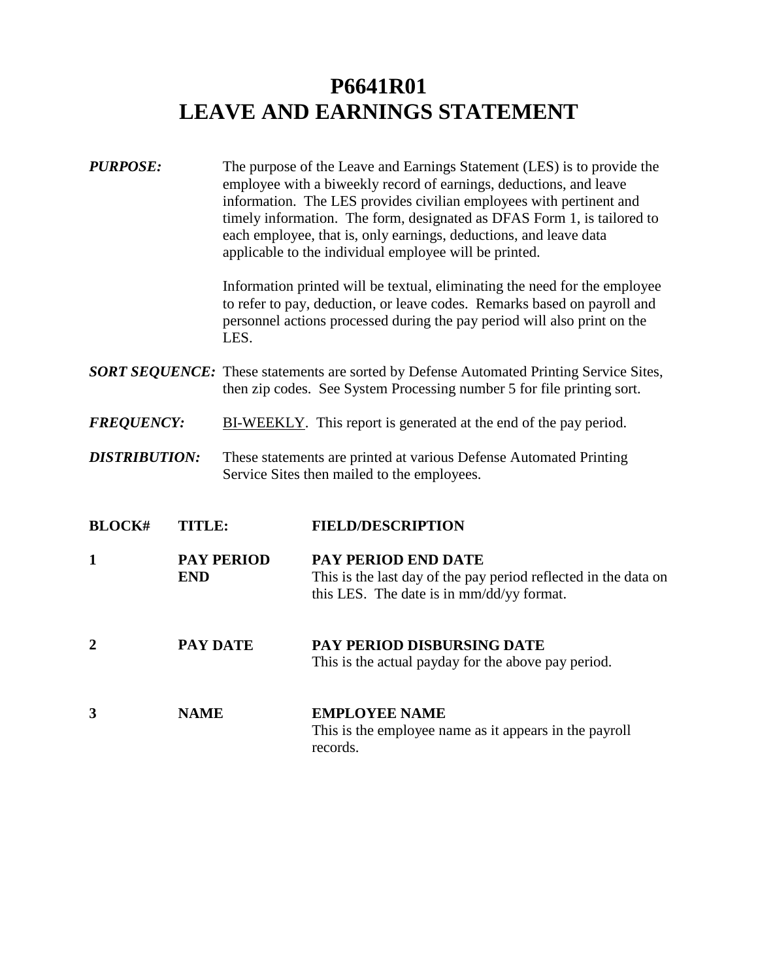# **P6641R01 LEAVE AND EARNINGS STATEMENT**

| <b>PURPOSE:</b>      |                 | LES.              | The purpose of the Leave and Earnings Statement (LES) is to provide the<br>employee with a biweekly record of earnings, deductions, and leave<br>information. The LES provides civilian employees with pertinent and<br>timely information. The form, designated as DFAS Form 1, is tailored to<br>each employee, that is, only earnings, deductions, and leave data<br>applicable to the individual employee will be printed.<br>Information printed will be textual, eliminating the need for the employee<br>to refer to pay, deduction, or leave codes. Remarks based on payroll and<br>personnel actions processed during the pay period will also print on the |
|----------------------|-----------------|-------------------|----------------------------------------------------------------------------------------------------------------------------------------------------------------------------------------------------------------------------------------------------------------------------------------------------------------------------------------------------------------------------------------------------------------------------------------------------------------------------------------------------------------------------------------------------------------------------------------------------------------------------------------------------------------------|
|                      |                 |                   | <b>SORT SEQUENCE:</b> These statements are sorted by Defense Automated Printing Service Sites,<br>then zip codes. See System Processing number 5 for file printing sort.                                                                                                                                                                                                                                                                                                                                                                                                                                                                                             |
| <b>FREQUENCY:</b>    |                 |                   | BI-WEEKLY. This report is generated at the end of the pay period.                                                                                                                                                                                                                                                                                                                                                                                                                                                                                                                                                                                                    |
| <b>DISTRIBUTION:</b> |                 |                   | These statements are printed at various Defense Automated Printing<br>Service Sites then mailed to the employees.                                                                                                                                                                                                                                                                                                                                                                                                                                                                                                                                                    |
| <b>BLOCK#</b>        | <b>TITLE:</b>   |                   | <b>FIELD/DESCRIPTION</b>                                                                                                                                                                                                                                                                                                                                                                                                                                                                                                                                                                                                                                             |
| 1                    | <b>END</b>      | <b>PAY PERIOD</b> | PAY PERIOD END DATE<br>This is the last day of the pay period reflected in the data on<br>this LES. The date is in mm/dd/yy format.                                                                                                                                                                                                                                                                                                                                                                                                                                                                                                                                  |
| $\overline{2}$       | <b>PAY DATE</b> |                   | PAY PERIOD DISBURSING DATE<br>This is the actual payday for the above pay period.                                                                                                                                                                                                                                                                                                                                                                                                                                                                                                                                                                                    |
| 3                    | <b>NAME</b>     |                   | <b>EMPLOYEE NAME</b><br>This is the employee name as it appears in the payroll<br>records.                                                                                                                                                                                                                                                                                                                                                                                                                                                                                                                                                                           |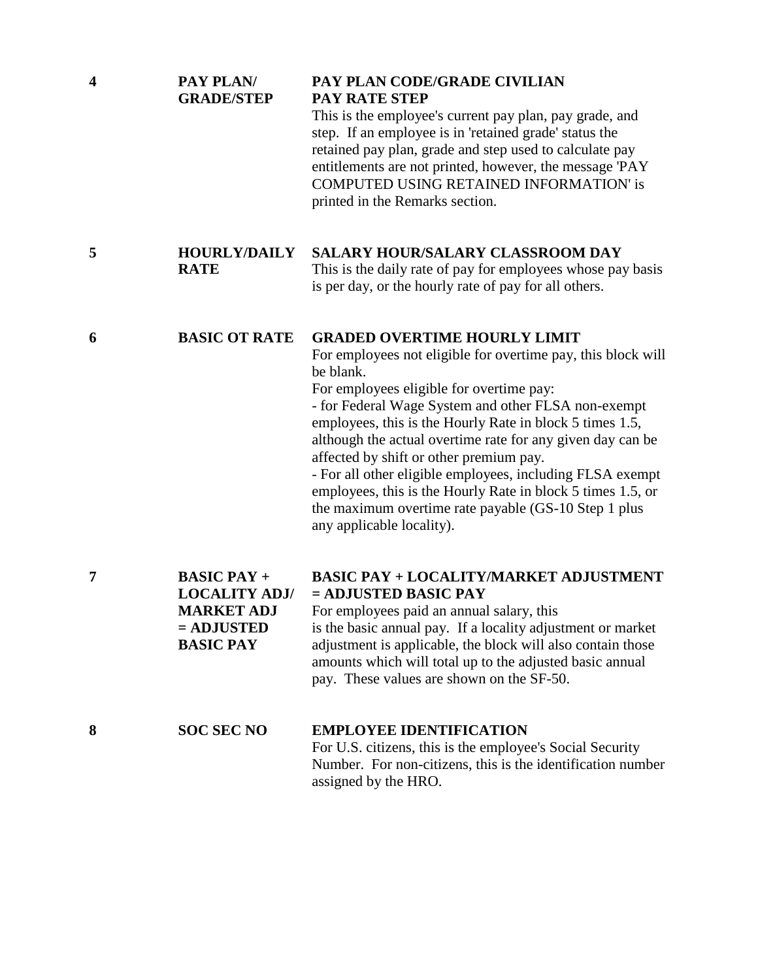| $\overline{\mathbf{4}}$ | PAY PLAN/<br><b>GRADE/STEP</b>                                                                      | PAY PLAN CODE/GRADE CIVILIAN<br>PAY RATE STEP<br>This is the employee's current pay plan, pay grade, and<br>step. If an employee is in 'retained grade' status the<br>retained pay plan, grade and step used to calculate pay<br>entitlements are not printed, however, the message 'PAY<br><b>COMPUTED USING RETAINED INFORMATION' is</b><br>printed in the Remarks section.                                                                                                                                                                                                                             |
|-------------------------|-----------------------------------------------------------------------------------------------------|-----------------------------------------------------------------------------------------------------------------------------------------------------------------------------------------------------------------------------------------------------------------------------------------------------------------------------------------------------------------------------------------------------------------------------------------------------------------------------------------------------------------------------------------------------------------------------------------------------------|
| 5                       | <b>HOURLY/DAILY</b><br><b>RATE</b>                                                                  | <b>SALARY HOUR/SALARY CLASSROOM DAY</b><br>This is the daily rate of pay for employees whose pay basis<br>is per day, or the hourly rate of pay for all others.                                                                                                                                                                                                                                                                                                                                                                                                                                           |
| 6                       | <b>BASIC OT RATE</b>                                                                                | <b>GRADED OVERTIME HOURLY LIMIT</b><br>For employees not eligible for overtime pay, this block will<br>be blank.<br>For employees eligible for overtime pay:<br>- for Federal Wage System and other FLSA non-exempt<br>employees, this is the Hourly Rate in block 5 times 1.5,<br>although the actual overtime rate for any given day can be<br>affected by shift or other premium pay.<br>- For all other eligible employees, including FLSA exempt<br>employees, this is the Hourly Rate in block 5 times 1.5, or<br>the maximum overtime rate payable (GS-10 Step 1 plus<br>any applicable locality). |
| 7                       | <b>BASIC PAY +</b><br><b>LOCALITY ADJ/</b><br><b>MARKET ADJ</b><br>$=$ ADJUSTED<br><b>BASIC PAY</b> | <b>BASIC PAY + LOCALITY/MARKET ADJUSTMENT</b><br>$=$ ADJUSTED BASIC PAY<br>For employees paid an annual salary, this<br>is the basic annual pay. If a locality adjustment or market<br>adjustment is applicable, the block will also contain those<br>amounts which will total up to the adjusted basic annual<br>pay. These values are shown on the SF-50.                                                                                                                                                                                                                                               |
| 8                       | <b>SOC SEC NO</b>                                                                                   | <b>EMPLOYEE IDENTIFICATION</b><br>For U.S. citizens, this is the employee's Social Security                                                                                                                                                                                                                                                                                                                                                                                                                                                                                                               |

[Number. For non-citizens, this is the identification number](#page-0-0)  assigned by the HRO.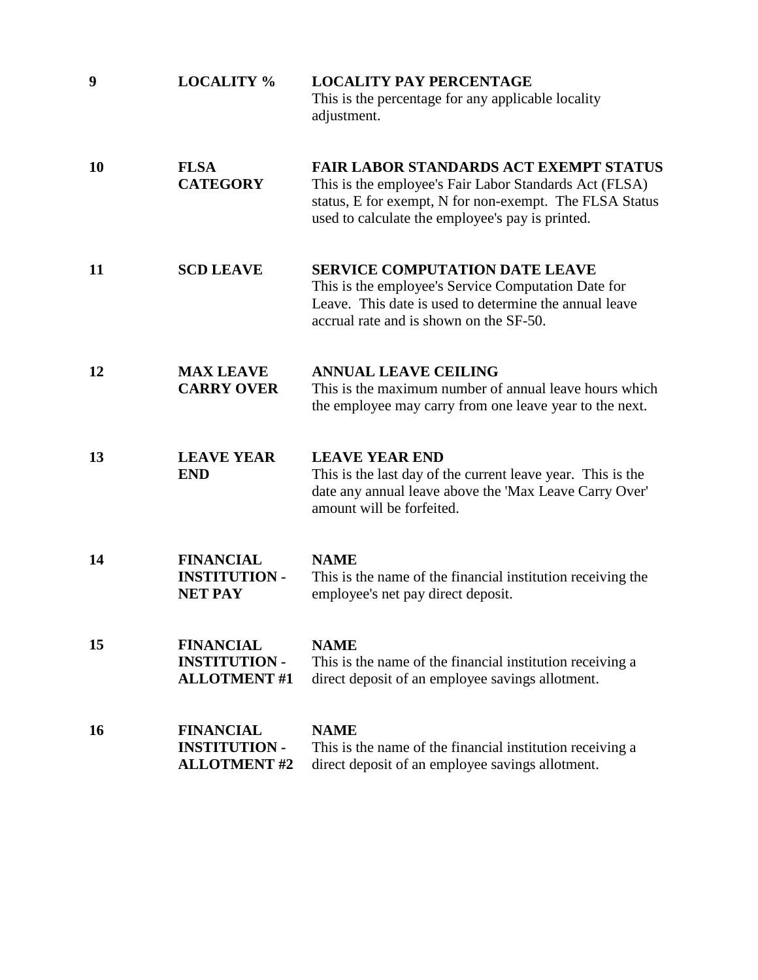| 9  | <b>LOCALITY %</b>                                               | <b>LOCALITY PAY PERCENTAGE</b><br>This is the percentage for any applicable locality<br>adjustment.                                                                                                                    |
|----|-----------------------------------------------------------------|------------------------------------------------------------------------------------------------------------------------------------------------------------------------------------------------------------------------|
| 10 | <b>FLSA</b><br><b>CATEGORY</b>                                  | <b>FAIR LABOR STANDARDS ACT EXEMPT STATUS</b><br>This is the employee's Fair Labor Standards Act (FLSA)<br>status, E for exempt, N for non-exempt. The FLSA Status<br>used to calculate the employee's pay is printed. |
| 11 | <b>SCD LEAVE</b>                                                | <b>SERVICE COMPUTATION DATE LEAVE</b><br>This is the employee's Service Computation Date for<br>Leave. This date is used to determine the annual leave<br>accrual rate and is shown on the SF-50.                      |
| 12 | <b>MAX LEAVE</b><br><b>CARRY OVER</b>                           | <b>ANNUAL LEAVE CEILING</b><br>This is the maximum number of annual leave hours which<br>the employee may carry from one leave year to the next.                                                                       |
| 13 | <b>LEAVE YEAR</b><br><b>END</b>                                 | <b>LEAVE YEAR END</b><br>This is the last day of the current leave year. This is the<br>date any annual leave above the 'Max Leave Carry Over'<br>amount will be forfeited.                                            |
| 14 | <b>FINANCIAL</b><br><b>INSTITUTION -</b><br><b>NET PAY</b>      | <b>NAME</b><br>This is the name of the financial institution receiving the<br>employee's net pay direct deposit.                                                                                                       |
| 15 | <b>FINANCIAL</b><br><b>INSTITUTION -</b><br><b>ALLOTMENT#1</b>  | <b>NAME</b><br>This is the name of the financial institution receiving a<br>direct deposit of an employee savings allotment.                                                                                           |
| 16 | <b>FINANCIAL</b><br><b>INSTITUTION -</b><br><b>ALLOTMENT #2</b> | <b>NAME</b><br>This is the name of the financial institution receiving a<br>direct deposit of an employee savings allotment.                                                                                           |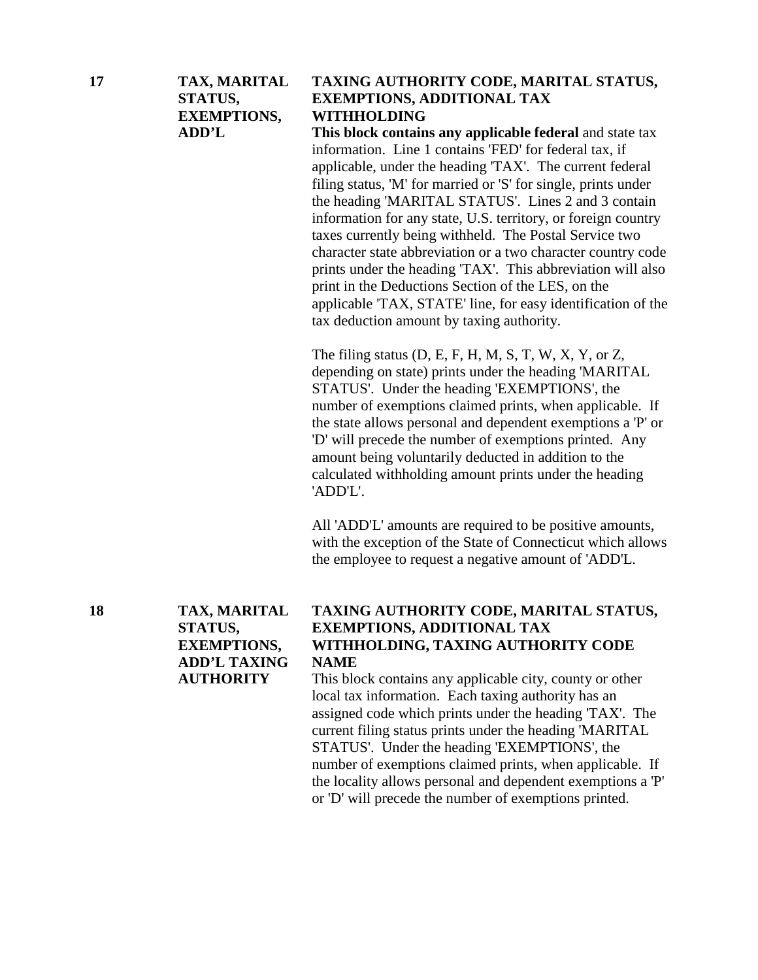#### **17 TAX, MARITAL TAXING AUTHORITY CODE, MARITAL STATUS, STATUS, EXEMPTIONS, ADDITIONAL TAX EXEMPTIONS, WITHHOLDING**

**ADD'L This block contains any applicable federal** and state tax information. Line 1 contains 'FED' for federal tax, if applicable, under the heading 'TAX'. The current federal filing status, 'M' for married or 'S' for single, prints under the heading 'MARITAL STATUS'. Lines 2 and 3 contain information for any state, U.S. territory, or foreign country taxes currently being withheld. The Postal Service two character state abbreviation or a two character country code prints under the heading 'TAX'. This abbreviation will also print in the Deductions Section of the LES, on the [applicable 'TAX, STATE' line, for easy identification of the](#page-0-0)  tax deduction amount by taxing authority.

> The filing status (D, E, F, H, M, S, T, W, X, Y, or Z, depending on state) prints under the heading 'MARITAL STATUS'. Under the heading 'EXEMPTIONS', the number of exemptions claimed prints, when applicable. If the state allows personal and dependent exemptions a 'P' or 'D' will precede the number of exemptions printed. Any amount being voluntarily deducted in addition to the calculated withholding amount prints under the heading 'ADD'L'.

All 'ADD'L' amounts are required to be positive amounts, with the exception of the State of Connecticut which allows the employee to request a negative amount of 'ADD'L.

**ADD'L TAXING NAME** 

# **18 TAX, MARITAL TAXING AUTHORITY CODE, MARITAL STATUS, STATUS, EXEMPTIONS, ADDITIONAL TAX EXEMPTIONS, WITHHOLDING, TAXING AUTHORITY CODE**

**AUTHORITY** This block contains any applicable city, county or other local tax information. Each taxing authority has an assigned code which prints under the heading 'TAX'. The current filing status prints under the heading 'MARITAL STATUS'. Under the heading 'EXEMPTIONS', the number of exemptions claimed prints, when applicable. If the locality allows personal and dependent exemptions a 'P' or 'D' will precede the number of exemptions printed.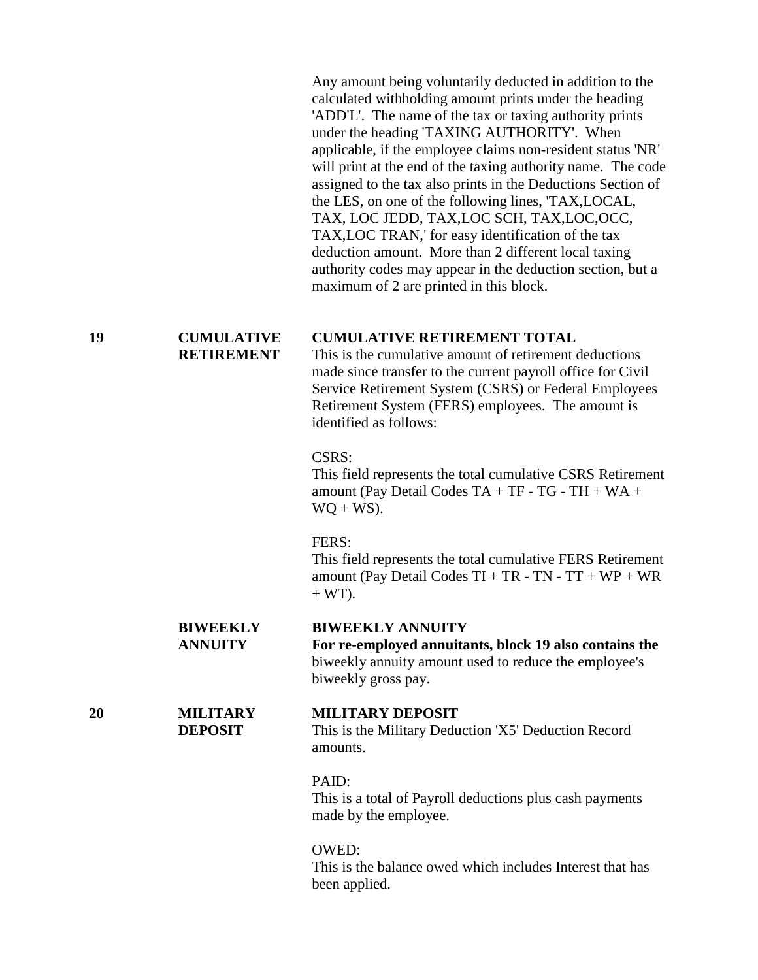Any amount being voluntarily deducted in addition to the calculated withholding amount prints under the heading 'ADD'L'. The name of the tax or taxing authority prints under the heading 'TAXING AUTHORITY'. When applicable, if the employee claims non-resident status 'NR' will print at the end of the taxing authority name. The code assigned to the tax also prints in the Deductions Section of the LES, on one of the following lines, 'TAX,LOCAL, TAX, LOC JEDD, TAX,LOC SCH, TAX,LOC,OCC, TAX,LOC TRAN,' for easy identification of the tax deduction amount. More than 2 different local taxing authority codes may appear in the deduction section, but a maximum of 2 are printed in this block.

# **19 CUMULATIVE CUMULATIVE RETIREMENT TOTAL**<br>**RETIREMENT** This is the cumulative amount of retirement of

This is the cumulative amount of retirement deductions made since transfer to the current payroll office for Civil Service Retirement System (CSRS) or Federal Employees Retirement System (FERS) employees. The amount is identified as follows:

#### CSRS:

This field represents the total cumulative CSRS Retirement amount (Pay Detail Codes TA + TF - TG - TH + WA +  $WO + WS$ ).

#### FERS:

This field represents the total cumulative FERS Retirement amount (Pay Detail Codes  $TI + TR - TN - TT + WP + WR$  $+ W T$ ).

#### **BIWEEKLY BIWEEKLY ANNUITY**

**ANNUITY For re-employed annuitants, block 19 also contains the** biweekly annuity amount used to reduce the employee's biweekly gross pay.

#### **20 MILITARY MILITARY DEPOSIT**

**DEPOSIT** This is the Military Deduction 'X5' Deduction Record amounts.

#### PAID:

This is a total of Payroll deductions plus cash payments made by the employee.

#### OWED:

This is the balance owed which includes Interest that has been applied.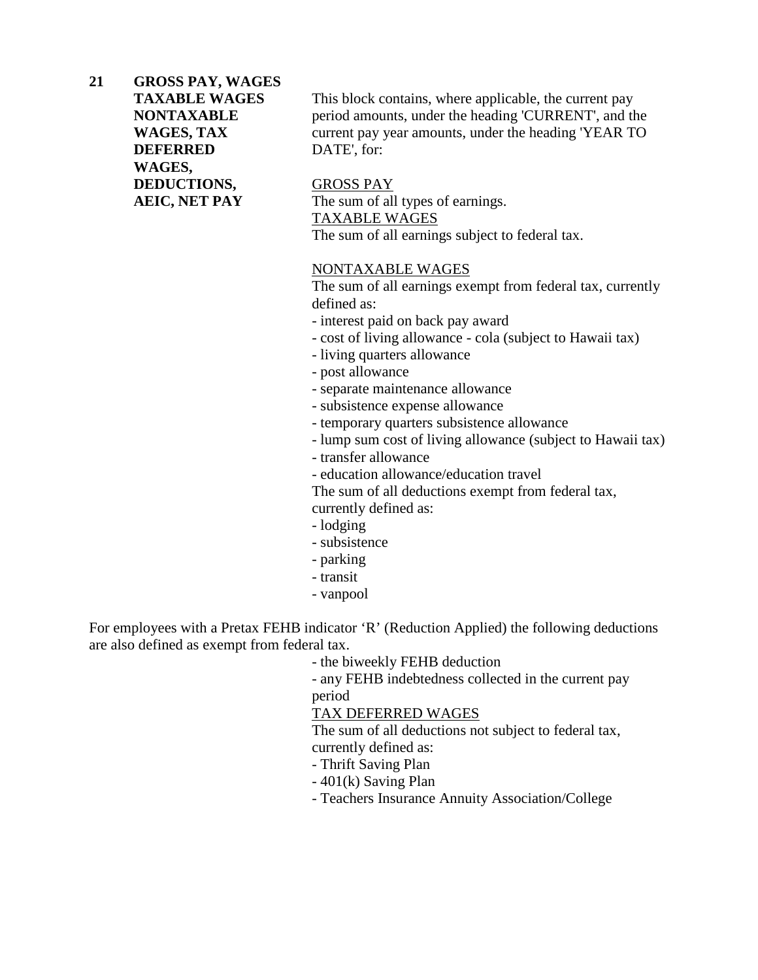**21 GROSS PAY, WAGES DEFERRED** DATE', for: **WAGES, DEDUCTIONS,** GROSS PAY

**TAXABLE WAGES** This block contains, where applicable, the current pay **NONTAXABLE** period amounts, under the heading 'CURRENT', and the **WAGES, TAX** current pay year amounts, under the heading 'YEAR TO

**AEIC, NET PAY** The sum of all types of earnings. TAXABLE WAGES The sum of all earnings subject to federal tax.

#### NONTAXABLE WAGES

The sum of all earnings exempt from federal tax, currently defined as:

- interest paid on back pay award
- cost of living allowance cola (subject to Hawaii tax)
- living quarters allowance
- post allowance
- separate maintenance allowance
- subsistence expense allowance
- temporary quarters subsistence allowance
- lump sum cost of living allowance (subject to Hawaii tax)
- transfer allowance
- education allowance/education travel

The sum of all deductions exempt from federal tax,

- currently defined as:
- lodging
- subsistence
- parking
- transit
- vanpool

[For employees with a Pretax FEHB indicator 'R' \(Reduction Applied\) the following deductions](#page-0-0)  are also defined as exempt from federal tax.

- the biweekly FEHB deduction

- any FEHB indebtedness collected in the current pay period

TAX DEFERRED WAGES

The sum of all deductions not subject to federal tax, currently defined as:

- Thrift Saving Plan
- 401(k) Saving Plan
- Teachers Insurance Annuity Association/College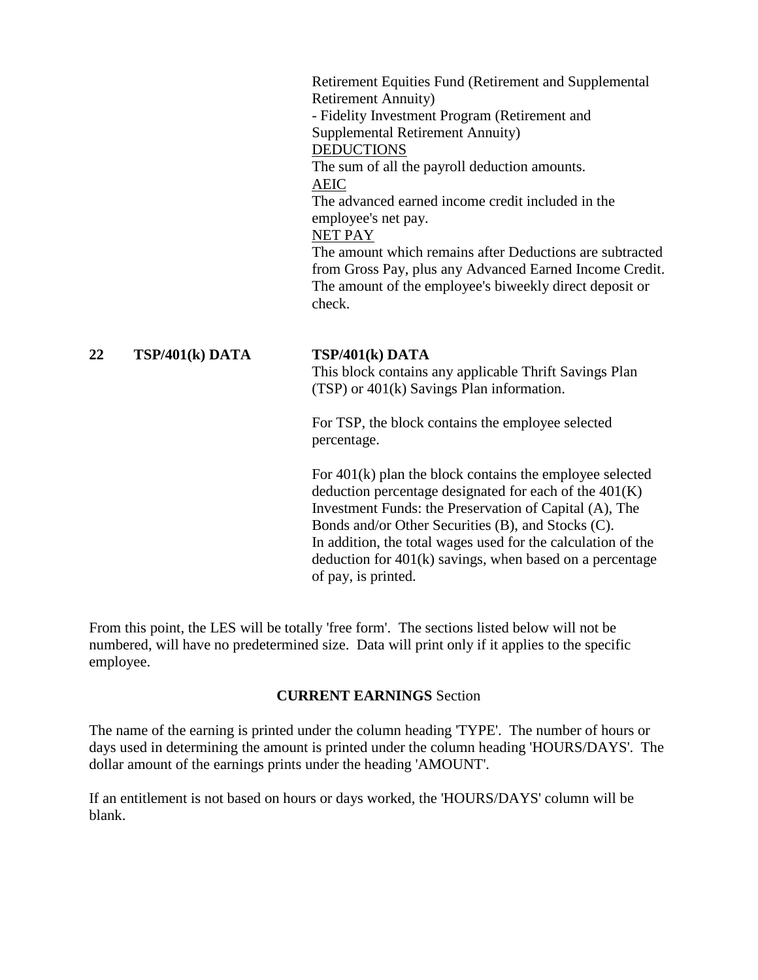Retirement Equities Fund (Retirement and Supplemental Retirement Annuity) - Fidelity Investment Program (Retirement and Supplemental Retirement Annuity) **DEDUCTIONS** The sum of all the payroll deduction amounts. AEIC The advanced earned income credit included in the employee's net pay. NET PAY The amount which remains after Deductions are subtracted from Gross Pay, plus any Advanced Earned Income Credit. The amount of the employee's biweekly direct deposit or check.

## **22 TSP/401(k) DATA TSP/401(k) DATA**

This block contains any applicable Thrift Savings Plan (TSP) or 401(k) Savings Plan information.

For TSP, the block contains the employee selected percentage.

For 401(k) plan the block contains the employee selected deduction percentage designated for each of the  $401(K)$ Investment Funds: the Preservation of Capital (A), The Bonds and/or Other Securities (B), and Stocks (C). In addition, the total wages used for the calculation of the deduction for  $401(k)$  savings, when based on a percentage of pay, is printed.

From this point, the LES will be totally 'free form'. The sections listed below will not be numbered, will have no predetermined size. Data will print only if it applies to the specific employee.

#### **CURRENT EARNINGS** Section

The name of the earning is printed under the column heading 'TYPE'. The number of hours or [days used in determining the amount is printed under the column heading 'HOURS/DAYS'. The](#page-0-0)  dollar amount of the earnings prints under the heading 'AMOUNT'.

If an entitlement is not based on hours or days worked, the 'HOURS/DAYS' column will be blank.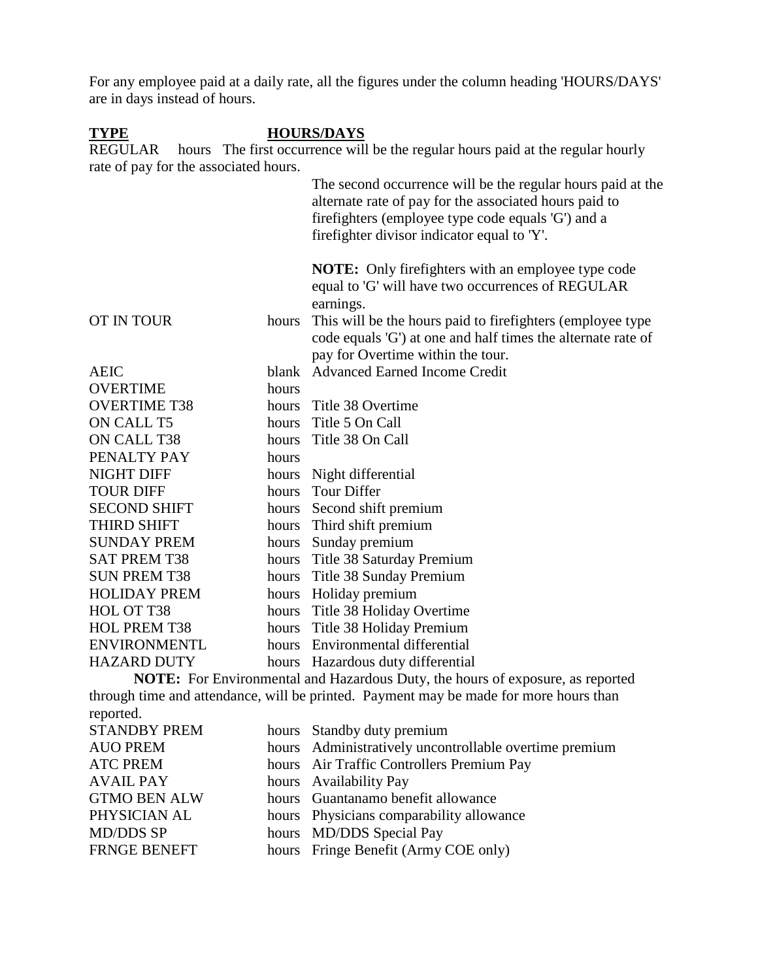[For any employee paid at a daily rate, all the figures under the column heading 'HOURS/DAYS'](#page-0-0)  are in days instead of hours.

#### **TYPE HOURS/DAYS**

REGULAR hours The first occurrence will be the regular hours paid at the regular hourly rate of pay for the associated hours.

|                     |       | The second occurrence will be the regular hours paid at the<br>alternate rate of pay for the associated hours paid to<br>firefighters (employee type code equals 'G') and a<br>fire fighter divisor indicator equal to 'Y'. |
|---------------------|-------|-----------------------------------------------------------------------------------------------------------------------------------------------------------------------------------------------------------------------------|
|                     |       | <b>NOTE:</b> Only firefighters with an employee type code<br>equal to 'G' will have two occurrences of REGULAR<br>earnings.                                                                                                 |
| <b>OT IN TOUR</b>   | hours | This will be the hours paid to firefighters (employee type)<br>code equals 'G') at one and half times the alternate rate of<br>pay for Overtime within the tour.                                                            |
| <b>AEIC</b>         | blank | <b>Advanced Earned Income Credit</b>                                                                                                                                                                                        |
| <b>OVERTIME</b>     | hours |                                                                                                                                                                                                                             |
| <b>OVERTIME T38</b> | hours | Title 38 Overtime                                                                                                                                                                                                           |
| ON CALL T5          |       | hours Title 5 On Call                                                                                                                                                                                                       |
| ON CALL T38         |       | hours Title 38 On Call                                                                                                                                                                                                      |
| PENALTY PAY         | hours |                                                                                                                                                                                                                             |
| <b>NIGHT DIFF</b>   | hours | Night differential                                                                                                                                                                                                          |
| <b>TOUR DIFF</b>    | hours | Tour Differ                                                                                                                                                                                                                 |
| <b>SECOND SHIFT</b> |       | hours Second shift premium                                                                                                                                                                                                  |
| <b>THIRD SHIFT</b>  |       | hours Third shift premium                                                                                                                                                                                                   |
| <b>SUNDAY PREM</b>  |       | hours Sunday premium                                                                                                                                                                                                        |
| <b>SAT PREM T38</b> |       | hours Title 38 Saturday Premium                                                                                                                                                                                             |
| <b>SUN PREM T38</b> | hours | Title 38 Sunday Premium                                                                                                                                                                                                     |
| <b>HOLIDAY PREM</b> |       | hours Holiday premium                                                                                                                                                                                                       |
| HOL OT T38          |       | hours Title 38 Holiday Overtime                                                                                                                                                                                             |
| <b>HOL PREM T38</b> |       | hours Title 38 Holiday Premium                                                                                                                                                                                              |
| <b>ENVIRONMENTL</b> |       | hours Environmental differential                                                                                                                                                                                            |
| <b>HAZARD DUTY</b>  |       | hours Hazardous duty differential                                                                                                                                                                                           |
|                     |       |                                                                                                                                                                                                                             |

**NOTE:** For Environmental and Hazardous Duty, the hours of exposure, as reported through time and attendance, will be printed. Payment may be made for more hours than reported.

| <b>STANDBY PREM</b> | hours Standby duty premium                             |
|---------------------|--------------------------------------------------------|
| <b>AUO PREM</b>     | hours Administratively uncontrollable overtime premium |
| <b>ATC PREM</b>     | hours Air Traffic Controllers Premium Pay              |
| <b>AVAIL PAY</b>    | hours Availability Pay                                 |
| <b>GTMO BEN ALW</b> | hours Guantanamo benefit allowance                     |
| PHYSICIAN AL        | hours Physicians comparability allowance               |
| <b>MD/DDS SP</b>    | hours MD/DDS Special Pay                               |
| <b>FRNGE BENEFT</b> | hours Fringe Benefit (Army COE only)                   |
|                     |                                                        |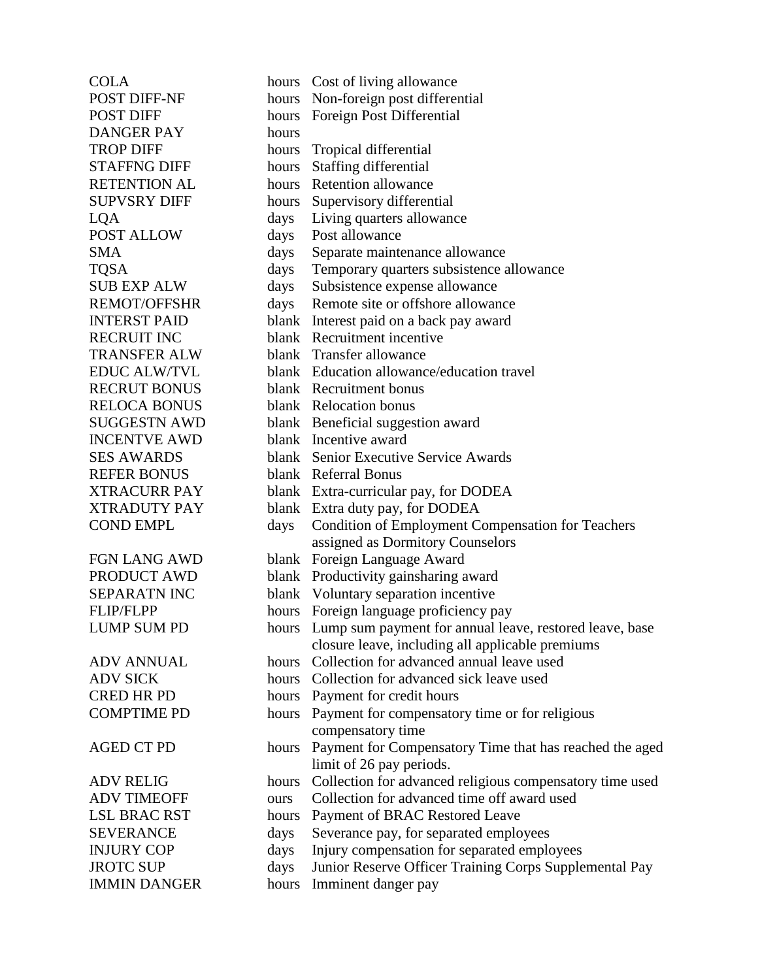DANGER PAY hours POST ALLOW days Post allowance INCENTVE AWD blank Incentive award REFER BONUS blank Referral Bonus

COLA hours Cost of living allowance POST DIFF-NF hours Non-foreign post differential POST DIFF hours Foreign Post Differential TROP DIFF hours Tropical differential STAFFNG DIFF hours Staffing differential RETENTION AL hours Retention allowance SUPVSRY DIFF hours Supervisory differential LQA days Living quarters allowance SMA days Separate maintenance allowance TQSA days Temporary quarters subsistence allowance SUB EXP ALW days Subsistence expense allowance REMOT/OFFSHR days Remote site or offshore allowance INTERST PAID blank Interest paid on a back pay award RECRUIT INC blank Recruitment incentive TRANSFER ALW blank Transfer allowance EDUC ALW/TVL blank Education allowance/education travel RECRUT BONUS blank Recruitment bonus RELOCA BONUS blank Relocation bonus SUGGESTN AWD blank Beneficial suggestion award SES AWARDS blank Senior Executive Service Awards XTRACURR PAY blank Extra-curricular pay, for DODEA XTRADUTY PAY blank Extra duty pay, for DODEA COND EMPL days Condition of Employment Compensation for Teachers assigned as Dormitory Counselors FGN LANG AWD blank Foreign Language Award PRODUCT AWD blank Productivity gainsharing award SEPARATN INC blank Voluntary separation incentive FLIP/FLPP hours Foreign language proficiency pay LUMP SUM PD hours Lump sum payment for annual leave, restored leave, base closure leave, including all applicable premiums ADV ANNUAL hours Collection for advanced annual leave used ADV SICK hours Collection for advanced sick leave used CRED HR PD hours Payment for credit hours COMPTIME PD hours Payment for compensatory time or for religious compensatory time AGED CT PD hours Payment for Compensatory Time that has reached the aged limit of 26 pay periods. ADV RELIG hours Collection for advanced religious compensatory time used ADV TIMEOFF ours Collection for advanced time off award used LSL BRAC RST hours Payment of BRAC Restored Leave SEVERANCE days Severance pay, for separated employees INJURY COP days Injury compensation for separated employees JROTC SUP days Junior Reserve Officer Training Corps Supplemental Pay IMMIN DANGER hours Imminent danger pay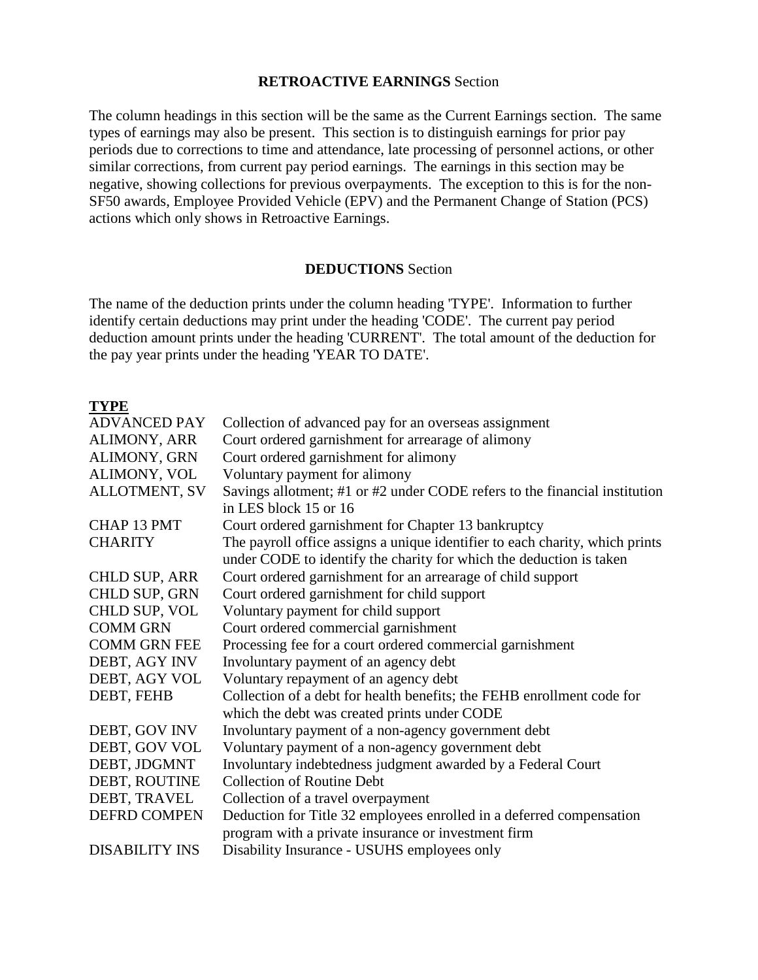#### **RETROACTIVE EARNINGS** Section

The column headings in this section will be the same as the Current Earnings section. The same types of earnings may also be present. This section is to distinguish earnings for prior pay periods due to corrections to time and attendance, late processing of personnel actions, or other similar corrections, from current pay period earnings. The earnings in this section may be negative, showing collections for previous overpayments. The exception to this is for the non-SF50 awards, Employee Provided Vehicle (EPV) and the Permanent Change of Station (PCS) actions which only shows in Retroactive Earnings.

#### **DEDUCTIONS** Section

The name of the deduction prints under the column heading 'TYPE'. Information to further identify certain deductions may print under the heading 'CODE'. The current pay period deduction amount prints under the heading 'CURRENT'. The total amount of the deduction for the pay year prints under the heading 'YEAR TO DATE'.

#### **TYPE**

| Collection of advanced pay for an overseas assignment                        |
|------------------------------------------------------------------------------|
| Court ordered garnishment for arrearage of alimony                           |
| Court ordered garnishment for alimony                                        |
| Voluntary payment for alimony                                                |
| Savings allotment; #1 or #2 under CODE refers to the financial institution   |
| in LES block 15 or 16                                                        |
| Court ordered garnishment for Chapter 13 bankruptcy                          |
| The payroll office assigns a unique identifier to each charity, which prints |
| under CODE to identify the charity for which the deduction is taken          |
| Court ordered garnishment for an arrearage of child support                  |
| Court ordered garnishment for child support                                  |
| Voluntary payment for child support                                          |
| Court ordered commercial garnishment                                         |
| Processing fee for a court ordered commercial garnishment                    |
| Involuntary payment of an agency debt                                        |
| Voluntary repayment of an agency debt                                        |
| Collection of a debt for health benefits; the FEHB enrollment code for       |
| which the debt was created prints under CODE                                 |
| Involuntary payment of a non-agency government debt                          |
| Voluntary payment of a non-agency government debt                            |
| Involuntary indebtedness judgment awarded by a Federal Court                 |
| <b>Collection of Routine Debt</b>                                            |
| Collection of a travel overpayment                                           |
| Deduction for Title 32 employees enrolled in a deferred compensation         |
| program with a private insurance or investment firm                          |
| Disability Insurance - USUHS employees only                                  |
|                                                                              |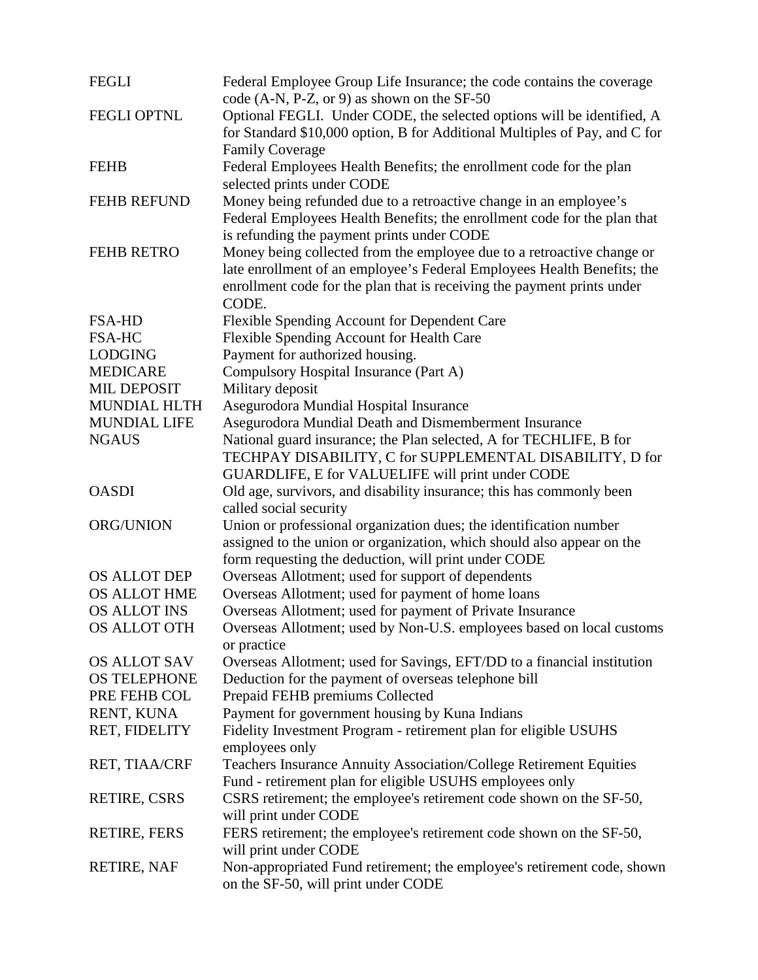| <b>FEGLI</b>        | Federal Employee Group Life Insurance; the code contains the coverage<br>code $(A-N, P-Z, or 9)$ as shown on the SF-50 |
|---------------------|------------------------------------------------------------------------------------------------------------------------|
| <b>FEGLI OPTNL</b>  | Optional FEGLI. Under CODE, the selected options will be identified, A                                                 |
|                     | for Standard \$10,000 option, B for Additional Multiples of Pay, and C for                                             |
|                     | <b>Family Coverage</b>                                                                                                 |
| <b>FEHB</b>         | Federal Employees Health Benefits; the enrollment code for the plan<br>selected prints under CODE                      |
| <b>FEHB REFUND</b>  | Money being refunded due to a retroactive change in an employee's                                                      |
|                     | Federal Employees Health Benefits; the enrollment code for the plan that<br>is refunding the payment prints under CODE |
| <b>FEHB RETRO</b>   | Money being collected from the employee due to a retroactive change or                                                 |
|                     | late enrollment of an employee's Federal Employees Health Benefits; the                                                |
|                     | enrollment code for the plan that is receiving the payment prints under                                                |
|                     | CODE.                                                                                                                  |
| <b>FSA-HD</b>       | Flexible Spending Account for Dependent Care                                                                           |
| <b>FSA-HC</b>       | Flexible Spending Account for Health Care                                                                              |
| <b>LODGING</b>      | Payment for authorized housing.                                                                                        |
| <b>MEDICARE</b>     | Compulsory Hospital Insurance (Part A)                                                                                 |
| <b>MIL DEPOSIT</b>  | Military deposit                                                                                                       |
| <b>MUNDIAL HLTH</b> | Asegurodora Mundial Hospital Insurance                                                                                 |
| <b>MUNDIAL LIFE</b> | Asegurodora Mundial Death and Dismemberment Insurance                                                                  |
| <b>NGAUS</b>        | National guard insurance; the Plan selected, A for TECHLIFE, B for                                                     |
|                     | TECHPAY DISABILITY, C for SUPPLEMENTAL DISABILITY, D for                                                               |
|                     | GUARDLIFE, E for VALUELIFE will print under CODE                                                                       |
| <b>OASDI</b>        | Old age, survivors, and disability insurance; this has commonly been<br>called social security                         |
| ORG/UNION           | Union or professional organization dues; the identification number                                                     |
|                     | assigned to the union or organization, which should also appear on the                                                 |
|                     | form requesting the deduction, will print under CODE                                                                   |
| <b>OS ALLOT DEP</b> | Overseas Allotment; used for support of dependents                                                                     |
| <b>OS ALLOT HME</b> | Overseas Allotment; used for payment of home loans                                                                     |
| <b>OS ALLOT INS</b> | Overseas Allotment; used for payment of Private Insurance                                                              |
| <b>OS ALLOT OTH</b> | Overseas Allotment; used by Non-U.S. employees based on local customs<br>or practice                                   |
| <b>OS ALLOT SAV</b> | Overseas Allotment; used for Savings, EFT/DD to a financial institution                                                |
| <b>OS TELEPHONE</b> | Deduction for the payment of overseas telephone bill                                                                   |
| PRE FEHB COL        | Prepaid FEHB premiums Collected                                                                                        |
| RENT, KUNA          | Payment for government housing by Kuna Indians                                                                         |
| RET, FIDELITY       | Fidelity Investment Program - retirement plan for eligible USUHS                                                       |
|                     | employees only                                                                                                         |
| RET, TIAA/CRF       | Teachers Insurance Annuity Association/College Retirement Equities                                                     |
|                     | Fund - retirement plan for eligible USUHS employees only                                                               |
| <b>RETIRE, CSRS</b> | CSRS retirement; the employee's retirement code shown on the SF-50,<br>will print under CODE                           |
| <b>RETIRE, FERS</b> | FERS retirement; the employee's retirement code shown on the SF-50,                                                    |
|                     | will print under CODE                                                                                                  |
| RETIRE, NAF         | Non-appropriated Fund retirement; the employee's retirement code, shown                                                |
|                     | on the SF-50, will print under CODE                                                                                    |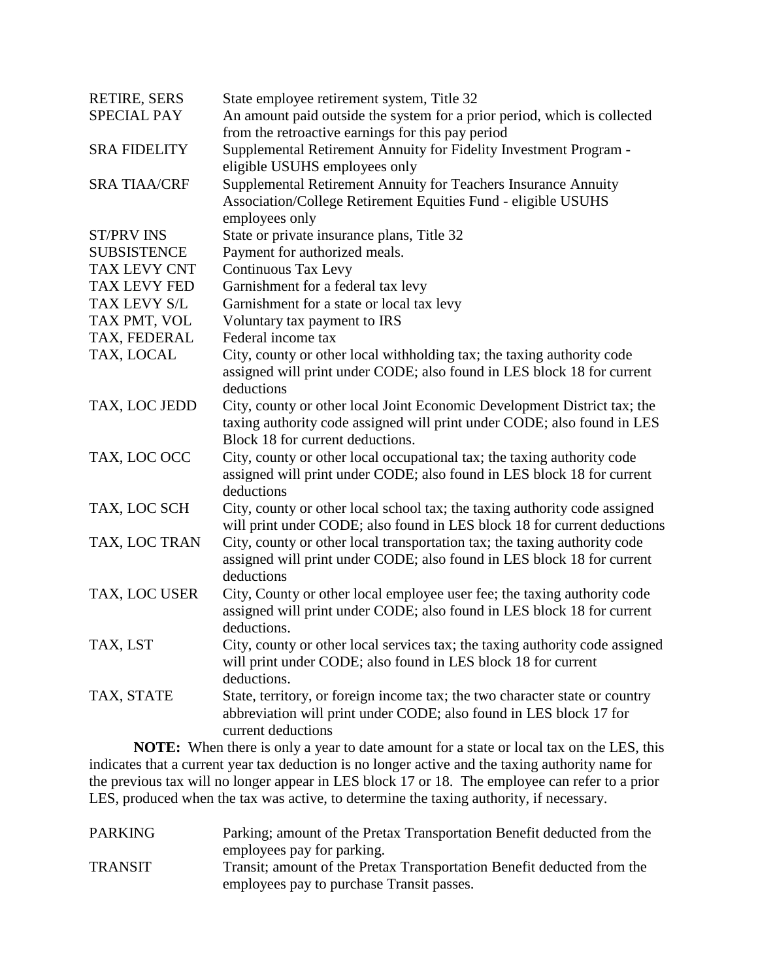| <b>RETIRE, SERS</b> | State employee retirement system, Title 32                                                                                                        |
|---------------------|---------------------------------------------------------------------------------------------------------------------------------------------------|
| <b>SPECIAL PAY</b>  | An amount paid outside the system for a prior period, which is collected                                                                          |
|                     | from the retroactive earnings for this pay period                                                                                                 |
| <b>SRA FIDELITY</b> | Supplemental Retirement Annuity for Fidelity Investment Program -                                                                                 |
|                     | eligible USUHS employees only                                                                                                                     |
| <b>SRA TIAA/CRF</b> | Supplemental Retirement Annuity for Teachers Insurance Annuity                                                                                    |
|                     | Association/College Retirement Equities Fund - eligible USUHS                                                                                     |
|                     | employees only                                                                                                                                    |
| <b>ST/PRV INS</b>   | State or private insurance plans, Title 32                                                                                                        |
| <b>SUBSISTENCE</b>  | Payment for authorized meals.                                                                                                                     |
| TAX LEVY CNT        | <b>Continuous Tax Levy</b>                                                                                                                        |
| <b>TAX LEVY FED</b> | Garnishment for a federal tax levy                                                                                                                |
| TAX LEVY S/L        | Garnishment for a state or local tax levy                                                                                                         |
| TAX PMT, VOL        | Voluntary tax payment to IRS                                                                                                                      |
| TAX, FEDERAL        | Federal income tax                                                                                                                                |
| TAX, LOCAL          | City, county or other local withholding tax; the taxing authority code                                                                            |
|                     | assigned will print under CODE; also found in LES block 18 for current                                                                            |
|                     | deductions                                                                                                                                        |
| TAX, LOC JEDD       | City, county or other local Joint Economic Development District tax; the                                                                          |
|                     | taxing authority code assigned will print under CODE; also found in LES                                                                           |
|                     | Block 18 for current deductions.                                                                                                                  |
| TAX, LOC OCC        | City, county or other local occupational tax; the taxing authority code                                                                           |
|                     | assigned will print under CODE; also found in LES block 18 for current                                                                            |
|                     | deductions                                                                                                                                        |
| TAX, LOC SCH        | City, county or other local school tax; the taxing authority code assigned                                                                        |
|                     | will print under CODE; also found in LES block 18 for current deductions                                                                          |
| TAX, LOC TRAN       | City, county or other local transportation tax; the taxing authority code                                                                         |
|                     | assigned will print under CODE; also found in LES block 18 for current                                                                            |
|                     | deductions                                                                                                                                        |
| TAX, LOC USER       | City, County or other local employee user fee; the taxing authority code                                                                          |
|                     | assigned will print under CODE; also found in LES block 18 for current                                                                            |
|                     | deductions.                                                                                                                                       |
| TAX, LST            | City, county or other local services tax; the taxing authority code assigned<br>will print under CODE; also found in LES block 18 for current     |
|                     | deductions.                                                                                                                                       |
|                     |                                                                                                                                                   |
| TAX, STATE          | State, territory, or foreign income tax; the two character state or country<br>abbreviation will print under CODE; also found in LES block 17 for |
|                     | current deductions                                                                                                                                |
|                     | <b>NOTE:</b> When there is only a year to date amount for a state or local tax on the LES, this                                                   |

**NOTE:** When there is only a year to date amount for a state or local tax on the LES, this indicates that a current year tax deduction is no longer active and the taxing authority name for the previous tax will no longer appear in LES block 17 or 18. The employee can refer to a prior LES, produced when the tax was active, to determine the taxing authority, if necessary.

| <b>PARKING</b> | Parking; amount of the Pretax Transportation Benefit deducted from the |
|----------------|------------------------------------------------------------------------|
|                | employees pay for parking.                                             |
| <b>TRANSIT</b> | Transit; amount of the Pretax Transportation Benefit deducted from the |
|                | employees pay to purchase Transit passes.                              |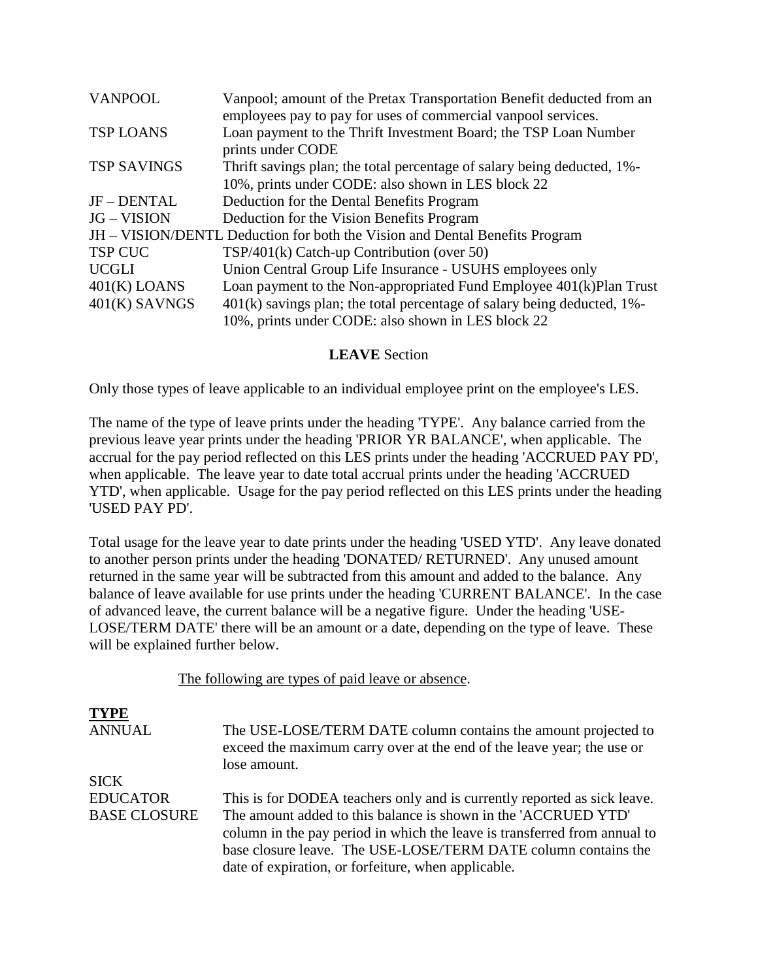| <b>VANPOOL</b>     | Vanpool; amount of the Pretax Transportation Benefit deducted from an<br>employees pay to pay for uses of commercial vanpool services. |
|--------------------|----------------------------------------------------------------------------------------------------------------------------------------|
| <b>TSP LOANS</b>   | Loan payment to the Thrift Investment Board; the TSP Loan Number<br>prints under CODE                                                  |
| <b>TSP SAVINGS</b> | Thrift savings plan; the total percentage of salary being deducted, 1%-                                                                |
|                    | 10%, prints under CODE: also shown in LES block 22                                                                                     |
| JF-DENTAL          | Deduction for the Dental Benefits Program                                                                                              |
| <b>JG – VISION</b> | Deduction for the Vision Benefits Program                                                                                              |
|                    | JH – VISION/DENTL Deduction for both the Vision and Dental Benefits Program                                                            |
| <b>TSP CUC</b>     | $TSP/401(k)$ Catch-up Contribution (over 50)                                                                                           |
| <b>UCGLI</b>       | Union Central Group Life Insurance - USUHS employees only                                                                              |
| $401(K)$ LOANS     | Loan payment to the Non-appropriated Fund Employee 401(k)Plan Trust                                                                    |
| $401(K)$ SAVNGS    | $401(k)$ savings plan; the total percentage of salary being deducted, 1%-                                                              |
|                    | 10%, prints under CODE: also shown in LES block 22                                                                                     |

#### **LEAVE** Section

Only those types of leave applicable to an individual employee print on the employee's LES.

The name of the type of leave prints under the heading 'TYPE'. Any balance carried from the previous leave year prints under the heading 'PRIOR YR BALANCE', when applicable. The accrual for the pay period reflected on this LES prints under the heading 'ACCRUED PAY PD', when applicable. The leave year to date total accrual prints under the heading 'ACCRUED YTD', when applicable. Usage for the pay period reflected on this LES prints under the heading 'USED PAY PD'.

Total usage for the leave year to date prints under the heading 'USED YTD'. Any leave donated to another person prints under the heading 'DONATED/ RETURNED'. Any unused amount returned in the same year will be subtracted from this amount and added to the balance. Any [balance of leave available for use prints under the heading 'CURRENT BALANCE'. In the case](#page-0-0)  of advanced leave, the current balance will be a negative figure. Under the heading 'USE-LOSE/TERM DATE' there will be an amount or a date, depending on the type of leave. These will be explained further below.

The following are types of paid leave or absence.

| <b>TYPE</b>         |                                                                                                                                                          |
|---------------------|----------------------------------------------------------------------------------------------------------------------------------------------------------|
| <b>ANNUAL</b>       | The USE-LOSE/TERM DATE column contains the amount projected to<br>exceed the maximum carry over at the end of the leave year; the use or<br>lose amount. |
| <b>SICK</b>         |                                                                                                                                                          |
| <b>EDUCATOR</b>     | This is for DODEA teachers only and is currently reported as sick leave.                                                                                 |
| <b>BASE CLOSURE</b> | The amount added to this balance is shown in the 'ACCRUED YTD'                                                                                           |
|                     | column in the pay period in which the leave is transferred from annual to                                                                                |
|                     | base closure leave. The USE-LOSE/TERM DATE column contains the                                                                                           |
|                     | date of expiration, or forfeiture, when applicable.                                                                                                      |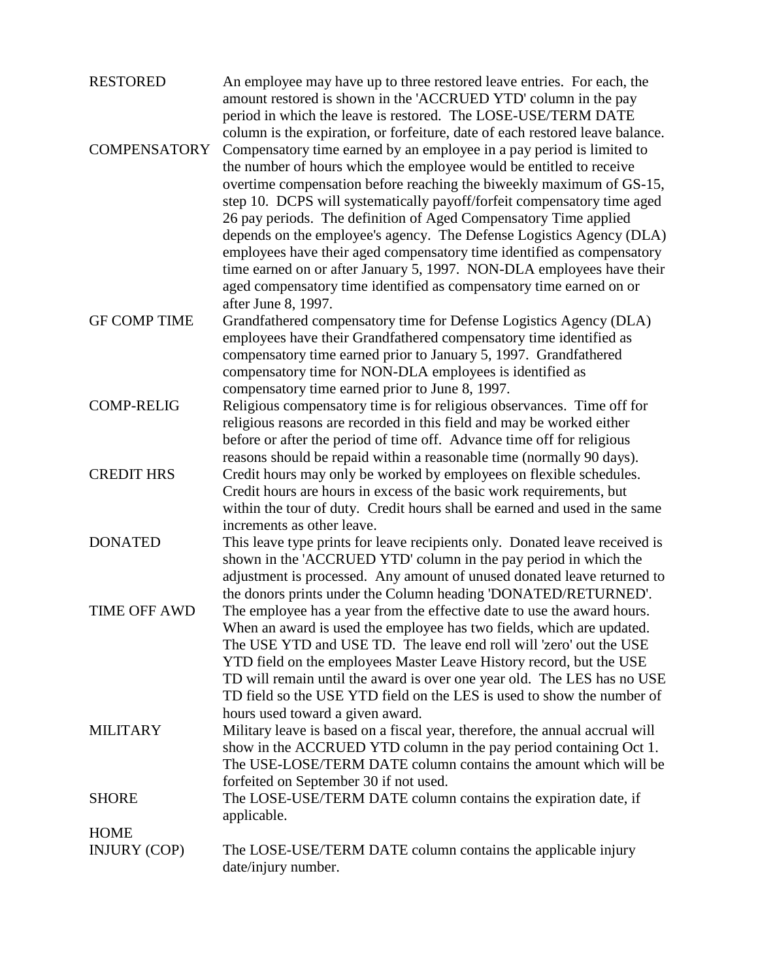| <b>RESTORED</b>     | An employee may have up to three restored leave entries. For each, the<br>amount restored is shown in the 'ACCRUED YTD' column in the pay<br>period in which the leave is restored. The LOSE-USE/TERM DATE<br>column is the expiration, or forfeiture, date of each restored leave balance.                                                                                                                                                                                                                                                                                                                                                                           |
|---------------------|-----------------------------------------------------------------------------------------------------------------------------------------------------------------------------------------------------------------------------------------------------------------------------------------------------------------------------------------------------------------------------------------------------------------------------------------------------------------------------------------------------------------------------------------------------------------------------------------------------------------------------------------------------------------------|
| <b>COMPENSATORY</b> | Compensatory time earned by an employee in a pay period is limited to<br>the number of hours which the employee would be entitled to receive<br>overtime compensation before reaching the biweekly maximum of GS-15,<br>step 10. DCPS will systematically payoff/forfeit compensatory time aged<br>26 pay periods. The definition of Aged Compensatory Time applied<br>depends on the employee's agency. The Defense Logistics Agency (DLA)<br>employees have their aged compensatory time identified as compensatory<br>time earned on or after January 5, 1997. NON-DLA employees have their<br>aged compensatory time identified as compensatory time earned on or |
| <b>GF COMP TIME</b> | after June 8, 1997.<br>Grandfathered compensatory time for Defense Logistics Agency (DLA)<br>employees have their Grandfathered compensatory time identified as<br>compensatory time earned prior to January 5, 1997. Grandfathered<br>compensatory time for NON-DLA employees is identified as<br>compensatory time earned prior to June 8, 1997.                                                                                                                                                                                                                                                                                                                    |
| <b>COMP-RELIG</b>   | Religious compensatory time is for religious observances. Time off for<br>religious reasons are recorded in this field and may be worked either<br>before or after the period of time off. Advance time off for religious                                                                                                                                                                                                                                                                                                                                                                                                                                             |
| <b>CREDIT HRS</b>   | reasons should be repaid within a reasonable time (normally 90 days).<br>Credit hours may only be worked by employees on flexible schedules.<br>Credit hours are hours in excess of the basic work requirements, but<br>within the tour of duty. Credit hours shall be earned and used in the same<br>increments as other leave.                                                                                                                                                                                                                                                                                                                                      |
| <b>DONATED</b>      | This leave type prints for leave recipients only. Donated leave received is<br>shown in the 'ACCRUED YTD' column in the pay period in which the<br>adjustment is processed. Any amount of unused donated leave returned to                                                                                                                                                                                                                                                                                                                                                                                                                                            |
| <b>TIME OFF AWD</b> | the donors prints under the Column heading 'DONATED/RETURNED'.<br>The employee has a year from the effective date to use the award hours.<br>When an award is used the employee has two fields, which are updated.<br>The USE YTD and USE TD. The leave end roll will 'zero' out the USE<br>YTD field on the employees Master Leave History record, but the USE<br>TD will remain until the award is over one year old. The LES has no USE<br>TD field so the USE YTD field on the LES is used to show the number of                                                                                                                                                  |
| <b>MILITARY</b>     | hours used toward a given award.<br>Military leave is based on a fiscal year, therefore, the annual accrual will<br>show in the ACCRUED YTD column in the pay period containing Oct 1.<br>The USE-LOSE/TERM DATE column contains the amount which will be<br>forfeited on September 30 if not used.                                                                                                                                                                                                                                                                                                                                                                   |
| <b>SHORE</b>        | The LOSE-USE/TERM DATE column contains the expiration date, if<br>applicable.                                                                                                                                                                                                                                                                                                                                                                                                                                                                                                                                                                                         |
| <b>HOME</b>         |                                                                                                                                                                                                                                                                                                                                                                                                                                                                                                                                                                                                                                                                       |
| <b>INJURY (COP)</b> | The LOSE-USE/TERM DATE column contains the applicable injury<br>date/injury number.                                                                                                                                                                                                                                                                                                                                                                                                                                                                                                                                                                                   |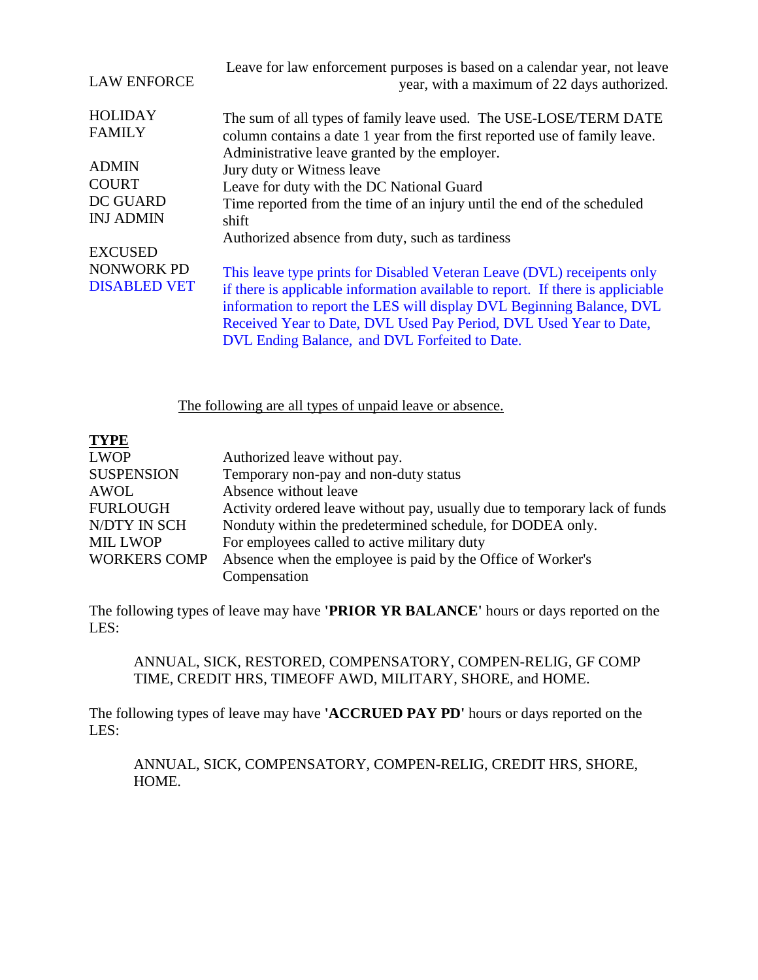| <b>LAW ENFORCE</b>                  | Leave for law enforcement purposes is based on a calendar year, not leave<br>year, with a maximum of 22 days authorized.                                                                                                                                                                                                                                    |
|-------------------------------------|-------------------------------------------------------------------------------------------------------------------------------------------------------------------------------------------------------------------------------------------------------------------------------------------------------------------------------------------------------------|
| <b>HOLIDAY</b><br><b>FAMILY</b>     | The sum of all types of family leave used. The USE-LOSE/TERM DATE<br>column contains a date 1 year from the first reported use of family leave.<br>Administrative leave granted by the employer.                                                                                                                                                            |
| <b>ADMIN</b>                        | Jury duty or Witness leave                                                                                                                                                                                                                                                                                                                                  |
| <b>COURT</b>                        | Leave for duty with the DC National Guard                                                                                                                                                                                                                                                                                                                   |
| <b>DC GUARD</b><br><b>INJ ADMIN</b> | Time reported from the time of an injury until the end of the scheduled<br>shift                                                                                                                                                                                                                                                                            |
|                                     | Authorized absence from duty, such as tardiness                                                                                                                                                                                                                                                                                                             |
| <b>EXCUSED</b>                      |                                                                                                                                                                                                                                                                                                                                                             |
| NONWORK PD<br><b>DISABLED VET</b>   | This leave type prints for Disabled Veteran Leave (DVL) receipents only<br>if there is applicable information available to report. If there is appliciable<br>information to report the LES will display DVL Beginning Balance, DVL<br>Received Year to Date, DVL Used Pay Period, DVL Used Year to Date,<br>DVL Ending Balance, and DVL Forfeited to Date. |

The following are all types of unpaid leave or absence.

| <b>TYPE</b>         |                                                                            |
|---------------------|----------------------------------------------------------------------------|
| <b>LWOP</b>         | Authorized leave without pay.                                              |
| <b>SUSPENSION</b>   | Temporary non-pay and non-duty status                                      |
| AWOL                | Absence without leave                                                      |
| <b>FURLOUGH</b>     | Activity ordered leave without pay, usually due to temporary lack of funds |
| N/DTY IN SCH        | Nonduty within the predetermined schedule, for DODEA only.                 |
| <b>MIL LWOP</b>     | For employees called to active military duty                               |
| <b>WORKERS COMP</b> | Absence when the employee is paid by the Office of Worker's                |
|                     | Compensation                                                               |

The following types of leave may have **'PRIOR YR BALANCE'** hours or days reported on the LES:

ANNUAL, SICK, RESTORED, COMPENSATORY, COMPEN-RELIG, GF COMP TIME, CREDIT HRS, TIMEOFF AWD, MILITARY, SHORE, and HOME.

The following types of leave may have **'ACCRUED PAY PD'** hours or days reported on the LES:

ANNUAL, SICK, COMPENSATORY, COMPEN-RELIG, CREDIT HRS, SHORE, HOME.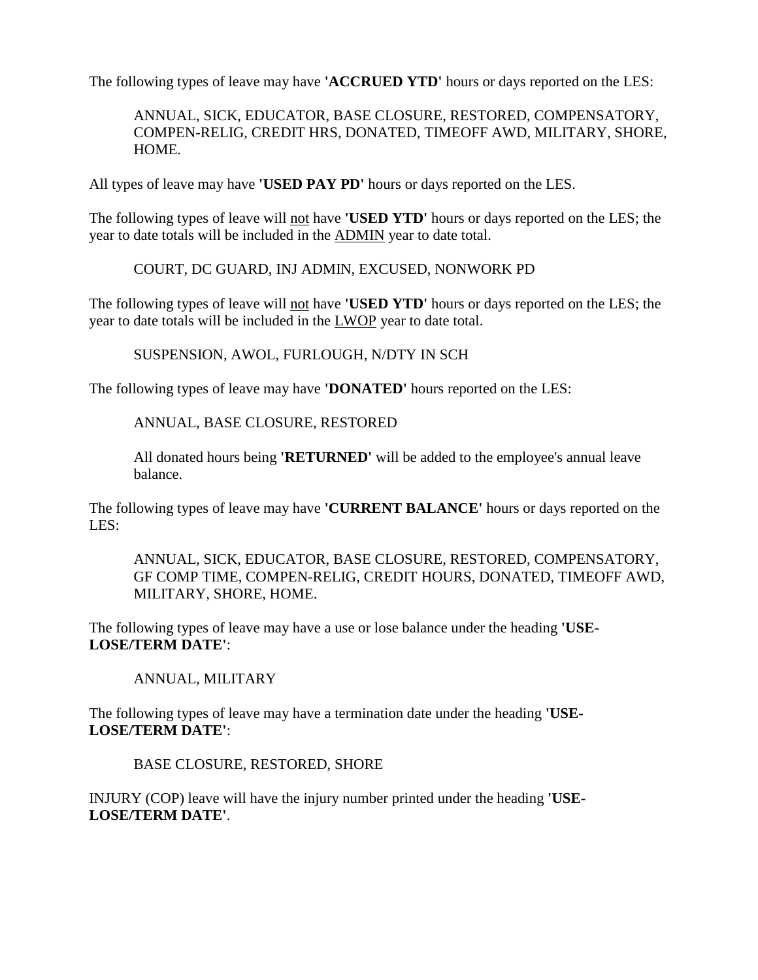The following types of leave may have **'ACCRUED YTD'** hours or days reported on the LES:

ANNUAL, SICK, EDUCATOR, BASE CLOSURE, RESTORED, COMPENSATORY, COMPEN-RELIG, CREDIT HRS, DONATED, TIMEOFF AWD, MILITARY, SHORE, HOME.

All types of leave may have **'USED PAY PD'** hours or days reported on the LES.

The following types of leave will not have **'USED YTD'** hours or days reported on the LES; the year to date totals will be included in the ADMIN year to date total.

COURT, DC GUARD, INJ ADMIN, EXCUSED, NONWORK PD

The following types of leave will not have **'USED YTD'** hours or days reported on the LES; the year to date totals will be included in the LWOP year to date total.

SUSPENSION, AWOL, FURLOUGH, N/DTY IN SCH

The following types of leave may have **'DONATED'** hours reported on the LES:

ANNUAL, BASE CLOSURE, RESTORED

All donated hours being **'RETURNED'** will be added to the employee's annual leave balance.

The following types of leave may have **'CURRENT BALANCE'** hours or days reported on the LES:

ANNUAL, SICK, EDUCATOR, BASE CLOSURE, RESTORED, COMPENSATORY, GF COMP TIME, COMPEN-RELIG, CREDIT HOURS, DONATED, TIMEOFF AWD, MILITARY, SHORE, HOME.

The following types of leave may have a use or lose balance under the heading **'USE-LOSE/TERM DATE'**:

ANNUAL, MILITARY

The following types of leave may have a termination date under the heading **'USE-LOSE/TERM DATE'**:

BASE CLOSURE, RESTORED, SHORE

INJURY (COP) leave will have the injury number printed under the heading **'USE-LOSE/TERM DATE'**.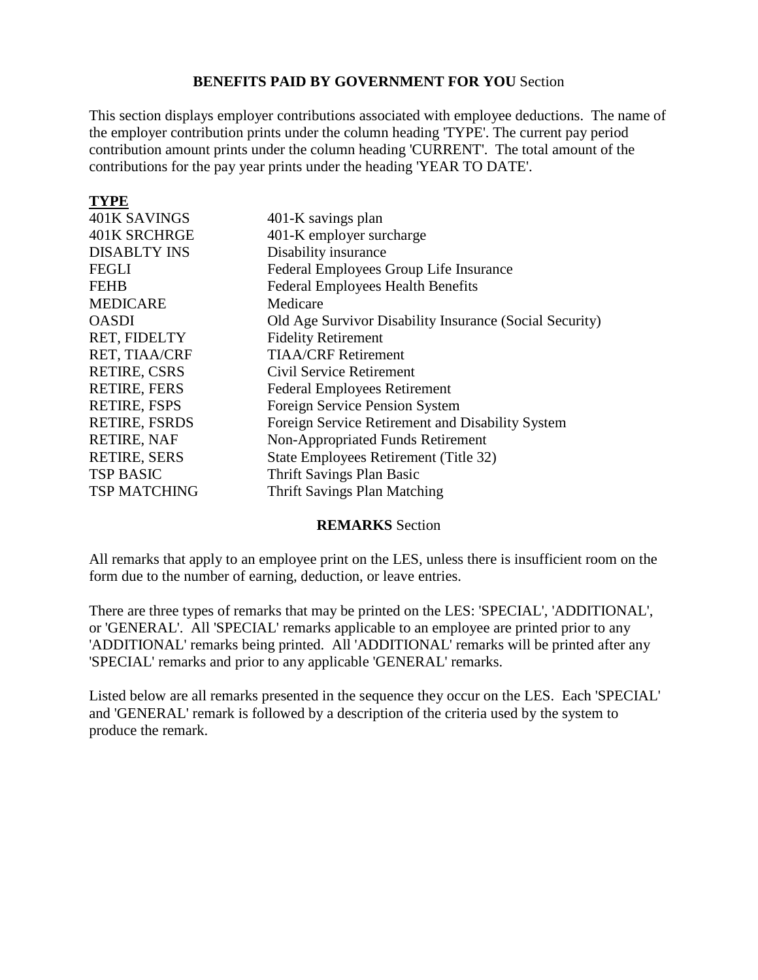#### **BENEFITS PAID BY GOVERNMENT FOR YOU** Section

[This section displays employer contributions associated with employee deductions. The name of](#page-0-0)  the employer contribution prints under the column heading 'TYPE'. The current pay period contribution amount prints under the column heading 'CURRENT'. The total amount of the contributions for the pay year prints under the heading 'YEAR TO DATE'.

| <b>TYPE</b>          |                                                         |
|----------------------|---------------------------------------------------------|
| 401K SAVINGS         | 401-K savings plan                                      |
| 401K SRCHRGE         | 401-K employer surcharge                                |
| <b>DISABLTY INS</b>  | Disability insurance                                    |
| <b>FEGLI</b>         | Federal Employees Group Life Insurance                  |
| <b>FEHB</b>          | <b>Federal Employees Health Benefits</b>                |
| <b>MEDICARE</b>      | Medicare                                                |
| <b>OASDI</b>         | Old Age Survivor Disability Insurance (Social Security) |
| RET, FIDELTY         | <b>Fidelity Retirement</b>                              |
| RET, TIAA/CRF        | <b>TIAA/CRF Retirement</b>                              |
| RETIRE, CSRS         | Civil Service Retirement                                |
| <b>RETIRE, FERS</b>  | <b>Federal Employees Retirement</b>                     |
| <b>RETIRE, FSPS</b>  | Foreign Service Pension System                          |
| <b>RETIRE, FSRDS</b> | Foreign Service Retirement and Disability System        |
| RETIRE, NAF          | <b>Non-Appropriated Funds Retirement</b>                |
| <b>RETIRE, SERS</b>  | State Employees Retirement (Title 32)                   |
| <b>TSP BASIC</b>     | <b>Thrift Savings Plan Basic</b>                        |
| <b>TSP MATCHING</b>  | <b>Thrift Savings Plan Matching</b>                     |

#### **REMARKS** Section

All remarks that apply to an employee print on the LES, unless there is insufficient room on the form due to the number of earning, deduction, or leave entries.

There are three types of remarks that may be printed on the LES: 'SPECIAL', 'ADDITIONAL', or 'GENERAL'. All 'SPECIAL' remarks applicable to an employee are printed prior to any 'ADDITIONAL' remarks being printed. All 'ADDITIONAL' remarks will be printed after any 'SPECIAL' remarks and prior to any applicable 'GENERAL' remarks.

Listed below are all remarks presented in the sequence they occur on the LES. Each 'SPECIAL' and 'GENERAL' remark is followed by a description of the criteria used by the system to produce the remark.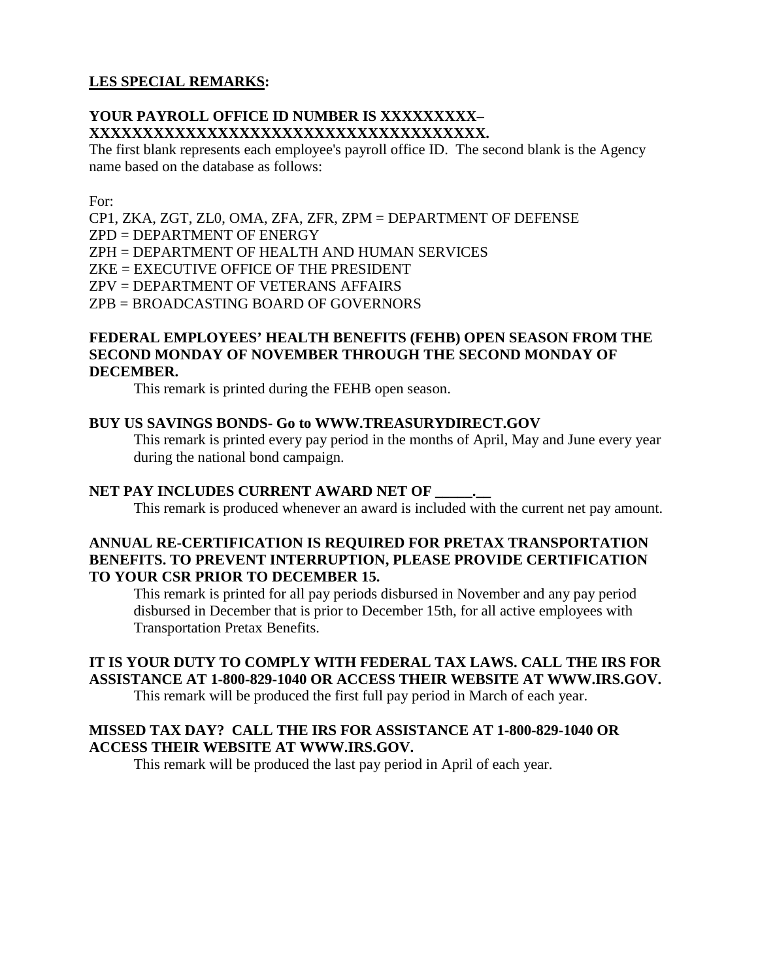#### **LES SPECIAL REMARKS:**

#### **YOUR PAYROLL OFFICE ID NUMBER IS XXXXXXXXX– XXXXXXXXXXXXXXXXXXXXXXXXXXXXXXXXXXXXX.**

The first blank represents each employee's payroll office ID. The second blank is the Agency name based on the database as follows:

For:

CP1, ZKA, ZGT, ZL0, OMA, ZFA, ZFR, ZPM = DEPARTMENT OF DEFENSE ZPD = DEPARTMENT OF ENERGY ZPH = DEPARTMENT OF HEALTH AND HUMAN SERVICES ZKE = EXECUTIVE OFFICE OF THE PRESIDENT ZPV = DEPARTMENT OF VETERANS AFFAIRS ZPB = BROADCASTING BOARD OF GOVERNORS

#### **FEDERAL EMPLOYEES' HEALTH BENEFITS (FEHB) OPEN SEASON FROM THE SECOND MONDAY OF NOVEMBER THROUGH THE SECOND MONDAY OF DECEMBER.**

This remark is printed during the FEHB open season.

#### **BUY US SAVINGS BONDS- Go to WWW.TREASURYDIRECT.GOV**

This remark is printed every pay period in the months of April, May and June every year during the national bond campaign.

#### **NET PAY INCLUDES CURRENT AWARD NET OF**

This remark is produced whenever an award is included with the current net pay amount.

#### **ANNUAL RE-CERTIFICATION IS REQUIRED FOR PRETAX TRANSPORTATION BENEFITS. TO PREVENT INTERRUPTION, PLEASE PROVIDE CERTIFICATION TO YOUR CSR PRIOR TO DECEMBER 15.**

This remark is printed for all pay periods disbursed in November and any pay period disbursed in December that is prior to December 15th, for all active employees with Transportation Pretax Benefits.

### **IT IS YOUR DUTY TO COMPLY WITH FEDERAL TAX LAWS. CALL THE IRS FOR ASSISTANCE AT 1-800-829-1040 OR ACCESS THEIR WEBSITE AT WWW.IRS.GOV.**

This remark will be produced the first full pay period in March of each year.

#### **MISSED TAX DAY? CALL THE IRS FOR ASSISTANCE AT 1-800-829-1040 OR ACCESS THEIR WEBSITE AT WWW.IRS.GOV.**

This remark will be produced the last pay period in April of each year.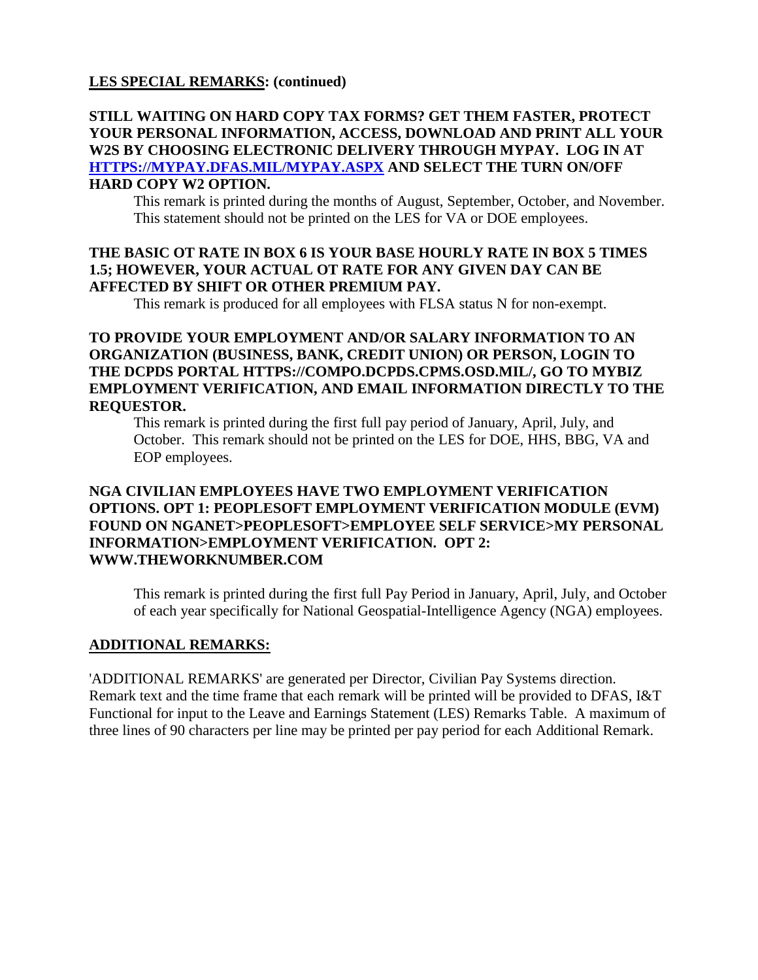#### **STILL WAITING ON HARD COPY TAX FORMS? GET THEM FASTER, PROTECT YOUR PERSONAL INFORMATION, ACCESS, DOWNLOAD AND PRINT ALL YOUR W2S BY CHOOSING ELECTRONIC DELIVERY THROUGH MYPAY. LOG IN AT [HTTPS://MYPAY.DFAS.MIL/MYPAY.ASPX](https://mypay.dfas.mil/MYPAY.ASPX) AND SELECT THE TURN ON/OFF HARD COPY W2 OPTION.**

This remark is printed during the months of August, September, October, and November. This statement should not be printed on the LES for VA or DOE employees.

#### **THE BASIC OT RATE IN BOX 6 IS YOUR BASE HOURLY RATE IN BOX 5 TIMES 1.5; HOWEVER, YOUR ACTUAL OT RATE FOR ANY GIVEN DAY CAN BE AFFECTED BY SHIFT OR OTHER PREMIUM PAY.**

This remark is produced for all employees with FLSA status N for non-exempt.

#### **TO PROVIDE YOUR EMPLOYMENT AND/OR SALARY INFORMATION TO AN ORGANIZATION (BUSINESS, BANK, CREDIT UNION) OR PERSON, LOGIN TO THE DCPDS PORTAL [HTTPS://COMPO.DCPDS.CPMS.OSD.MIL/,](https://compo.dcpds.cpms.osd.mil/) GO TO MYBIZ EMPLOYMENT VERIFICATION, AND EMAIL INFORMATION DIRECTLY TO THE REQUESTOR.**

This remark is printed during the first full pay period of January, April, July, and October. This remark should not be printed on the LES for DOE, HHS, BBG, VA and EOP employees.

#### **NGA CIVILIAN EMPLOYEES HAVE TWO EMPLOYMENT VERIFICATION OPTIONS. OPT 1: PEOPLESOFT EMPLOYMENT VERIFICATION MODULE (EVM) FOUND ON NGANET>PEOPLESOFT>EMPLOYEE SELF SERVICE>MY PERSONAL INFORMATION>EMPLOYMENT VERIFICATION. OPT 2: [WWW.THEWORKNUMBER.COM](http://www.theworknumber.com/)**

This remark is printed during the first full Pay Period in January, April, July, and October of each year specifically for National Geospatial-Intelligence Agency (NGA) employees.

#### **ADDITIONAL REMARKS:**

'ADDITIONAL REMARKS' are generated per Director, Civilian Pay Systems direction. Remark text and the time frame that each remark will be printed will be provided to DFAS, I&T Functional for input to the Leave and Earnings Statement (LES) Remarks Table. A maximum of three lines of 90 characters per line may be printed per pay period for each Additional Remark.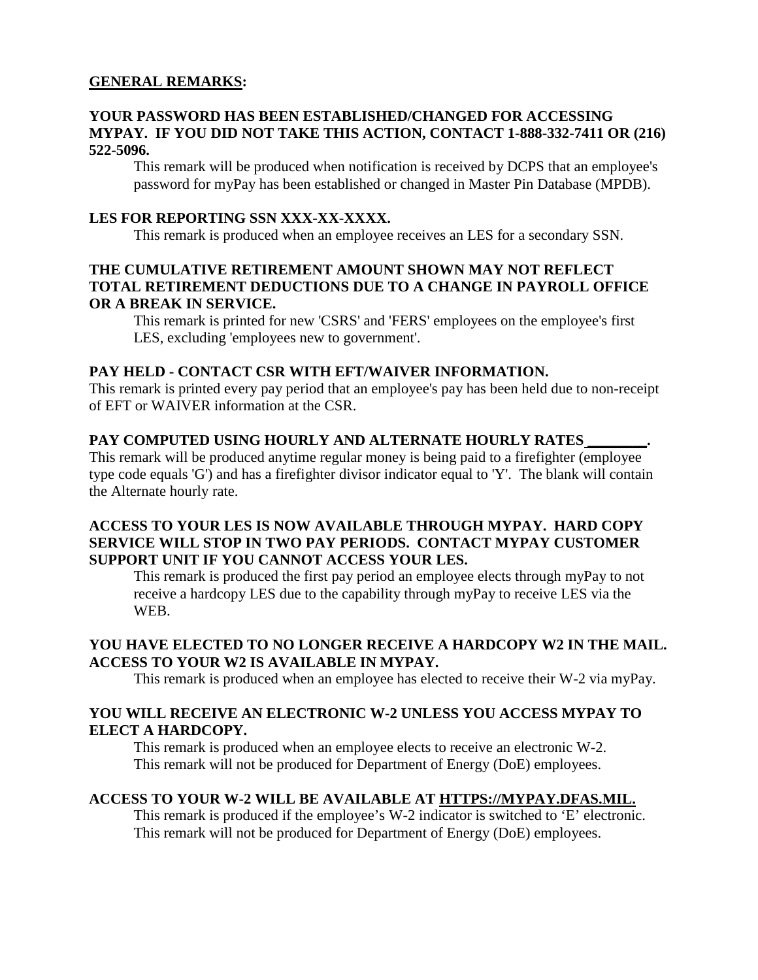#### **GENERAL REMARKS:**

#### **YOUR PASSWORD HAS BEEN ESTABLISHED/CHANGED FOR ACCESSING MYPAY. IF YOU DID NOT TAKE THIS ACTION, CONTACT 1-888-332-7411 OR (216) 522-5096.**

This remark will be produced when notification is received by DCPS that an employee's password for myPay has been established or changed in Master Pin Database (MPDB).

#### **LES FOR REPORTING SSN XXX-XX-XXXX.**

This remark is produced when an employee receives an LES for a secondary SSN.

#### **THE CUMULATIVE RETIREMENT AMOUNT SHOWN MAY NOT REFLECT TOTAL RETIREMENT DEDUCTIONS DUE TO A CHANGE IN PAYROLL OFFICE OR A BREAK IN SERVICE.**

This remark is printed for new 'CSRS' and 'FERS' employees on the employee's first LES, excluding 'employees new to government'.

#### **PAY HELD - CONTACT CSR WITH EFT/WAIVER INFORMATION.**

This remark is printed every pay period that an employee's pay has been held due to non-receipt of EFT or WAIVER information at the CSR.

#### PAY COMPUTED USING HOURLY AND ALTERNATE HOURLY RATES\_

This remark will be produced anytime regular money is being paid to a firefighter (employee type code equals 'G') and has a firefighter divisor indicator equal to 'Y'. The blank will contain the Alternate hourly rate.

#### **ACCESS TO YOUR LES IS NOW AVAILABLE THROUGH MYPAY. HARD COPY SERVICE WILL STOP IN TWO PAY PERIODS. CONTACT MYPAY CUSTOMER SUPPORT UNIT IF YOU CANNOT ACCESS YOUR LES.**

This remark is produced the first pay period an employee elects through myPay to not receive a hardcopy LES due to the capability through myPay to receive LES via the WEB.

#### **YOU HAVE ELECTED TO NO LONGER RECEIVE A HARDCOPY W2 IN THE MAIL. ACCESS TO YOUR W2 IS AVAILABLE IN MYPAY.**

This remark is produced when an employee has elected to receive their W-2 via myPay.

#### **YOU WILL RECEIVE AN ELECTRONIC W-2 UNLESS YOU ACCESS MYPAY TO ELECT A HARDCOPY.**

This remark is produced when an employee elects to receive an electronic W-2. This remark will not be produced for Department of Energy (DoE) employees.

#### **ACCESS TO YOUR W-2 WILL BE AVAILABLE AT HTTPS://MYPAY.DFAS.MIL.**

This remark is produced if the employee's W-2 indicator is switched to 'E' electronic. This remark will not be produced for Department of Energy (DoE) employees.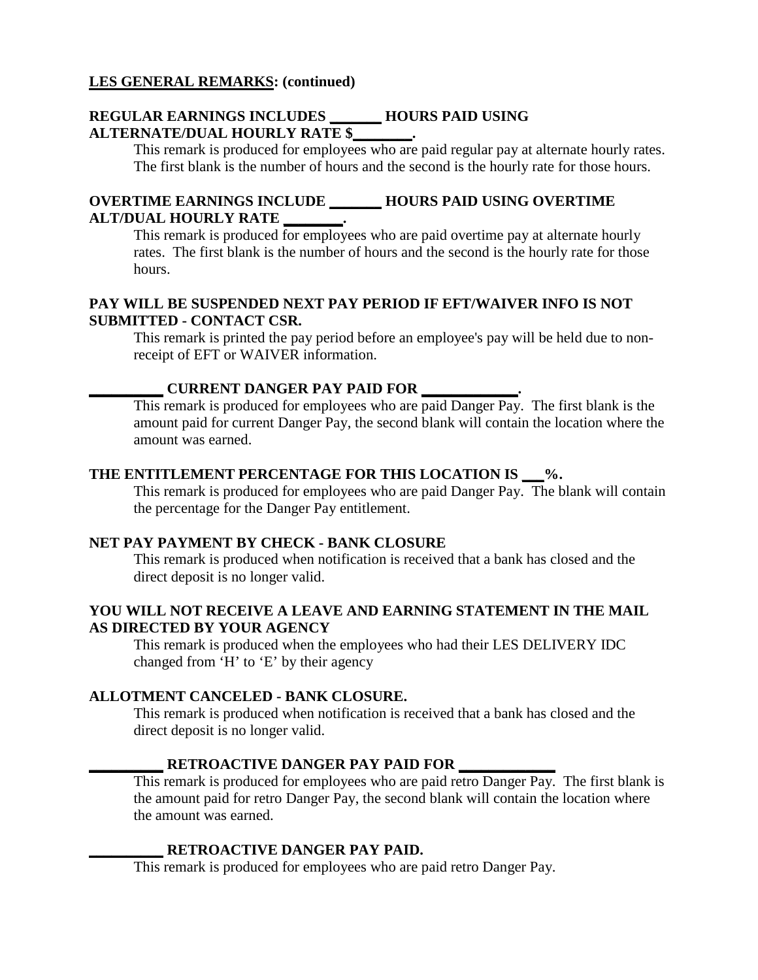#### **REGULAR EARNINGS INCLUDES \_\_\_\_\_\_\_ HOURS PAID USING ALTERNATE/DUAL HOURLY RATE \$\_\_\_\_\_\_\_\_.**

This remark is produced for employees who are paid regular pay at alternate hourly rates. The first blank is the number of hours and the second is the hourly rate for those hours.

#### **OVERTIME EARNINGS INCLUDE \_\_\_\_\_\_\_ HOURS PAID USING OVERTIME ALT/DUAL HOURLY RATE \_\_\_\_\_\_\_\_.**

This remark is produced for employees who are paid overtime pay at alternate hourly rates. The first blank is the number of hours and the second is the hourly rate for those hours.

#### **PAY WILL BE SUSPENDED NEXT PAY PERIOD IF EFT/WAIVER INFO IS NOT SUBMITTED - CONTACT CSR.**

This remark is printed the pay period before an employee's pay will be held due to nonreceipt of EFT or WAIVER information.

#### **\_\_\_\_\_\_\_\_\_\_ CURRENT DANGER PAY PAID FOR \_\_\_\_\_\_\_\_\_\_\_\_\_.**

This remark is produced for employees who are paid Danger Pay. The first blank is the amount paid for current Danger Pay, the second blank will contain the location where the amount was earned.

#### **THE ENTITLEMENT PERCENTAGE FOR THIS LOCATION IS \_\_\_%.**

This remark is produced for employees who are paid Danger Pay. The blank will contain the percentage for the Danger Pay entitlement.

#### **NET PAY PAYMENT BY CHECK - BANK CLOSURE**

This remark is produced when notification is received that a bank has closed and the direct deposit is no longer valid.

#### **YOU WILL NOT RECEIVE A LEAVE AND EARNING STATEMENT IN THE MAIL AS DIRECTED BY YOUR AGENCY**

This remark is produced when the employees who had their LES DELIVERY IDC changed from 'H' to 'E' by their agency

#### **ALLOTMENT CANCELED - BANK CLOSURE.**

This remark is produced when notification is received that a bank has closed and the direct deposit is no longer valid.

#### **\_\_\_\_\_\_\_\_\_\_ RETROACTIVE DANGER PAY PAID FOR \_\_\_\_\_\_\_\_\_\_\_\_\_**

This remark is produced for employees who are paid retro Danger Pay. The first blank is the amount paid for retro Danger Pay, the second blank will contain the location where the amount was earned.

#### **\_\_\_\_\_\_\_\_\_\_ RETROACTIVE DANGER PAY PAID.**

This remark is produced for employees who are paid retro Danger Pay.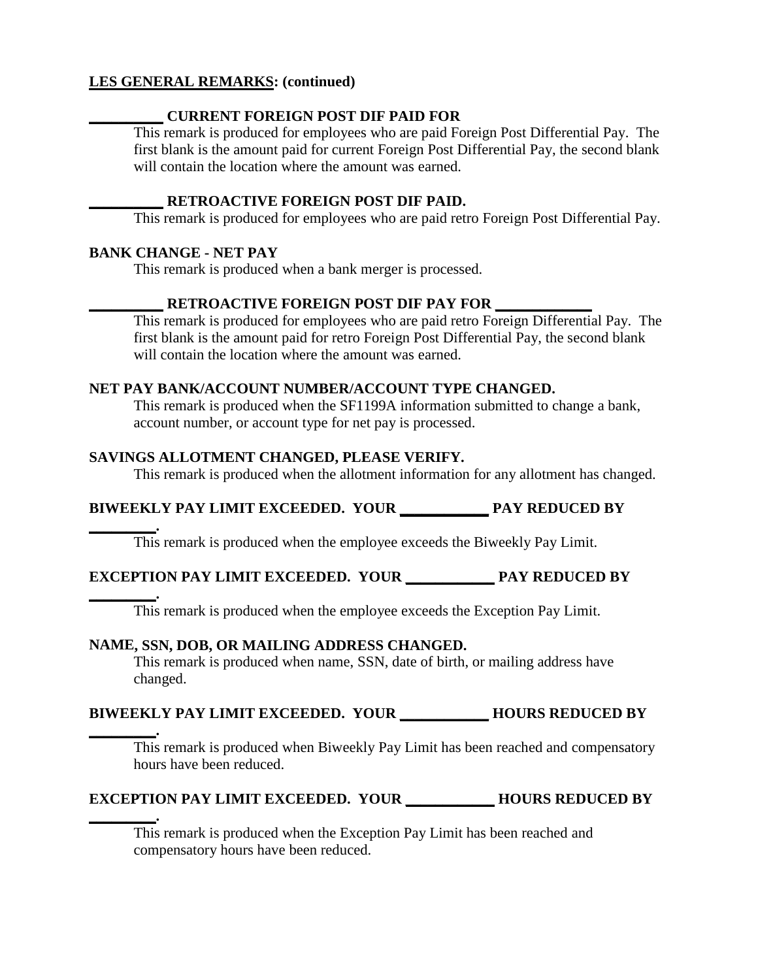#### **\_\_\_\_\_\_\_\_\_\_ CURRENT FOREIGN POST DIF PAID FOR**

This remark is produced for employees who are paid Foreign Post Differential Pay. The first blank is the amount paid for current Foreign Post Differential Pay, the second blank will contain the location where the amount was earned.

#### **\_\_\_\_\_\_\_\_\_\_ RETROACTIVE FOREIGN POST DIF PAID.**

This remark is produced for employees who are paid retro Foreign Post Differential Pay.

#### **BANK CHANGE - NET PAY**

**\_\_\_\_\_\_\_\_\_.** 

This remark is produced when a bank merger is processed.

#### **\_\_\_\_\_\_\_\_\_\_ RETROACTIVE FOREIGN POST DIF PAY FOR \_\_\_\_\_\_\_\_\_\_\_\_\_**

This remark is produced for employees who are paid retro Foreign Differential Pay. The first blank is the amount paid for retro Foreign Post Differential Pay, the second blank will contain the location where the amount was earned.

#### **NET PAY BANK/ACCOUNT NUMBER/ACCOUNT TYPE CHANGED.**

This remark is produced when the SF1199A information submitted to change a bank, account number, or account type for net pay is processed.

#### **SAVINGS ALLOTMENT CHANGED, PLEASE VERIFY.**

This remark is produced when the allotment information for any allotment has changed.

### **BIWEEKLY PAY LIMIT EXCEEDED. YOUR \_\_\_\_\_\_\_\_\_\_\_\_ PAY REDUCED BY**

This remark is produced when the employee exceeds the Biweekly Pay Limit.

#### **EXCEPTION PAY LIMIT EXCEEDED. YOUR \_\_\_\_\_\_\_\_\_\_\_\_ PAY REDUCED BY**

**\_\_\_\_\_\_\_\_\_.**  This remark is produced when the employee exceeds the Exception Pay Limit.

#### **NAME, SSN, DOB, OR MAILING ADDRESS CHANGED.**

This remark is produced when name, SSN, date of birth, or mailing address have changed.

#### **BIWEEKLY PAY LIMIT EXCEEDED. YOUR \_\_\_\_\_\_\_\_\_\_\_\_ HOURS REDUCED BY**

**\_\_\_\_\_\_\_\_\_.**  This remark is produced when Biweekly Pay Limit has been reached and compensatory hours have been reduced.

#### **EXCEPTION PAY LIMIT EXCEEDED. YOUR \_\_\_\_\_\_\_\_\_\_\_\_ HOURS REDUCED BY**

**\_\_\_\_\_\_\_\_\_.**  This remark is produced when the Exception Pay Limit has been reached and compensatory hours have been reduced.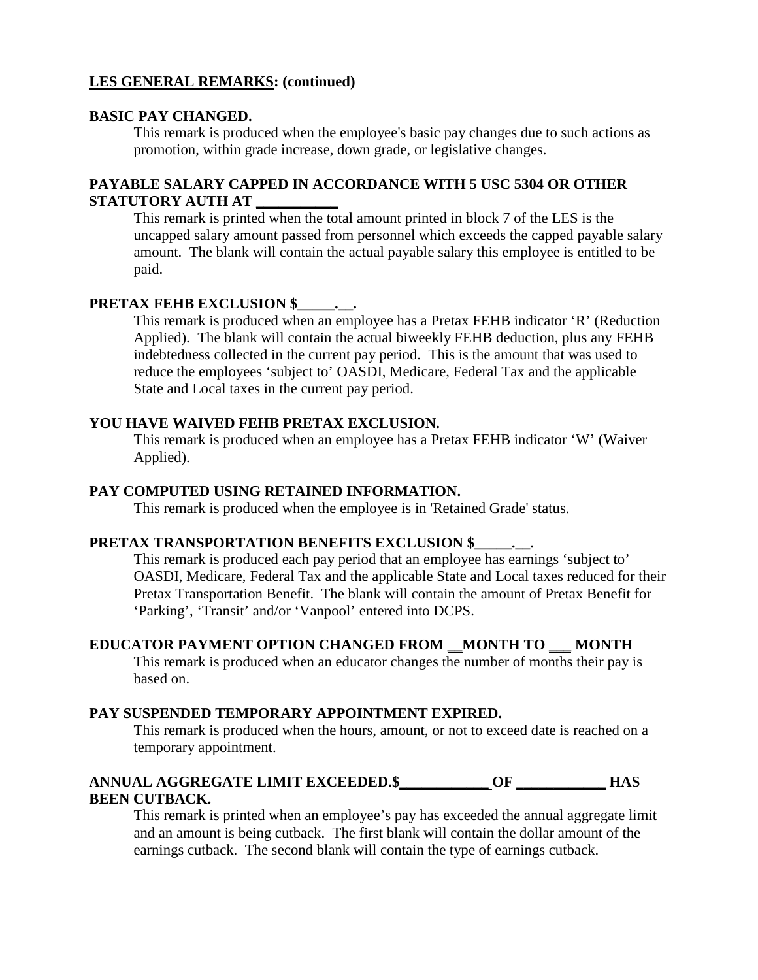#### **BASIC PAY CHANGED.**

This remark is produced when the employee's basic pay changes due to such actions as promotion, within grade increase, down grade, or legislative changes.

#### **PAYABLE SALARY CAPPED IN ACCORDANCE WITH 5 USC 5304 OR OTHER STATUTORY AUTH AT \_\_\_\_\_\_\_\_\_\_\_**

This remark is printed when the total amount printed in block 7 of the LES is the uncapped salary amount passed from personnel which exceeds the capped payable salary amount. The blank will contain the actual payable salary this employee is entitled to be paid.

#### PRETAX FEHB EXCLUSION \$

This remark is produced when an employee has a Pretax FEHB indicator 'R' (Reduction Applied). The blank will contain the actual biweekly FEHB deduction, plus any FEHB indebtedness collected in the current pay period. This is the amount that was used to reduce the employees 'subject to' OASDI, Medicare, Federal Tax and the applicable State and Local taxes in the current pay period.

#### **YOU HAVE WAIVED FEHB PRETAX EXCLUSION.**

This remark is produced when an employee has a Pretax FEHB indicator 'W' (Waiver Applied).

#### **PAY COMPUTED USING RETAINED INFORMATION.**

This remark is produced when the employee is in 'Retained Grade' status.

#### **PRETAX TRANSPORTATION BENEFITS EXCLUSION \$\_\_\_\_\_.\_\_.**

This remark is produced each pay period that an employee has earnings 'subject to' OASDI, Medicare, Federal Tax and the applicable State and Local taxes reduced for their Pretax Transportation Benefit. The blank will contain the amount of Pretax Benefit for 'Parking', 'Transit' and/or 'Vanpool' entered into DCPS.

#### **EDUCATOR PAYMENT OPTION CHANGED FROM \_\_MONTH TO \_\_\_ MONTH**

This remark is produced when an educator changes the number of months their pay is based on.

#### **PAY SUSPENDED TEMPORARY APPOINTMENT EXPIRED.**

This remark is produced when the hours, amount, or not to exceed date is reached on a temporary appointment.

#### **ANNUAL AGGREGATE LIMIT EXCEEDED.\$\_\_\_\_\_\_\_\_\_\_\_\_ OF \_\_\_\_\_\_\_\_\_\_\_\_ HAS BEEN CUTBACK.**

This remark is printed when an employee's pay has exceeded the annual aggregate limit and an amount is being cutback. The first blank will contain the dollar amount of the earnings cutback. The second blank will contain the type of earnings cutback.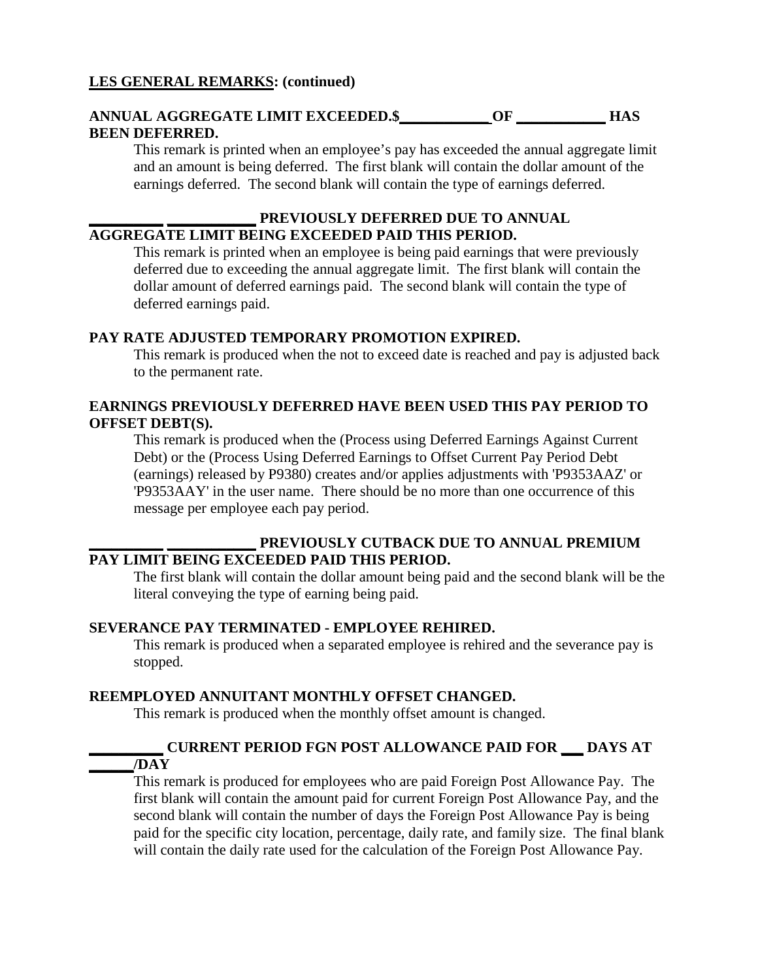#### **ANNUAL AGGREGATE LIMIT EXCEEDED.\$\_\_\_\_\_\_\_\_\_\_\_\_ OF \_\_\_\_\_\_\_\_\_\_\_\_ HAS BEEN DEFERRED.**

This remark is printed when an employee's pay has exceeded the annual aggregate limit and an amount is being deferred. The first blank will contain the dollar amount of the earnings deferred. The second blank will contain the type of earnings deferred.

#### **\_\_\_\_\_\_\_\_\_\_ \_\_\_\_\_\_\_\_\_\_\_\_ PREVIOUSLY DEFERRED DUE TO ANNUAL AGGREGATE LIMIT BEING EXCEEDED PAID THIS PERIOD.**

This remark is printed when an employee is being paid earnings that were previously deferred due to exceeding the annual aggregate limit. The first blank will contain the dollar amount of deferred earnings paid. The second blank will contain the type of deferred earnings paid.

#### **PAY RATE ADJUSTED TEMPORARY PROMOTION EXPIRED.**

This remark is produced when the not to exceed date is reached and pay is adjusted back to the permanent rate.

#### **EARNINGS PREVIOUSLY DEFERRED HAVE BEEN USED THIS PAY PERIOD TO OFFSET DEBT(S).**

This remark is produced when the (Process using Deferred Earnings Against Current Debt) or the (Process Using Deferred Earnings to Offset Current Pay Period Debt (earnings) released by P9380) creates and/or applies adjustments with 'P9353AAZ' or 'P9353AAY' in the user name. There should be no more than one occurrence of this message per employee each pay period.

#### **\_\_\_\_\_\_\_\_\_\_ \_\_\_\_\_\_\_\_\_\_\_\_ PREVIOUSLY CUTBACK DUE TO ANNUAL PREMIUM PAY LIMIT BEING EXCEEDED PAID THIS PERIOD.**

The first blank will contain the dollar amount being paid and the second blank will be the literal conveying the type of earning being paid.

#### **SEVERANCE PAY TERMINATED - EMPLOYEE REHIRED.**

This remark is produced when a separated employee is rehired and the severance pay is stopped.

#### **REEMPLOYED ANNUITANT MONTHLY OFFSET CHANGED.**

This remark is produced when the monthly offset amount is changed.

#### **\_\_\_\_\_\_\_\_\_\_ CURRENT PERIOD FGN POST ALLOWANCE PAID FOR \_\_\_ DAYS AT \_\_\_\_\_\_/DAY**

This remark is produced for employees who are paid Foreign Post Allowance Pay. The first blank will contain the amount paid for current Foreign Post Allowance Pay, and the second blank will contain the number of days the Foreign Post Allowance Pay is being paid for the specific city location, percentage, daily rate, and family size. The final blank will contain the daily rate used for the calculation of the Foreign Post Allowance Pay.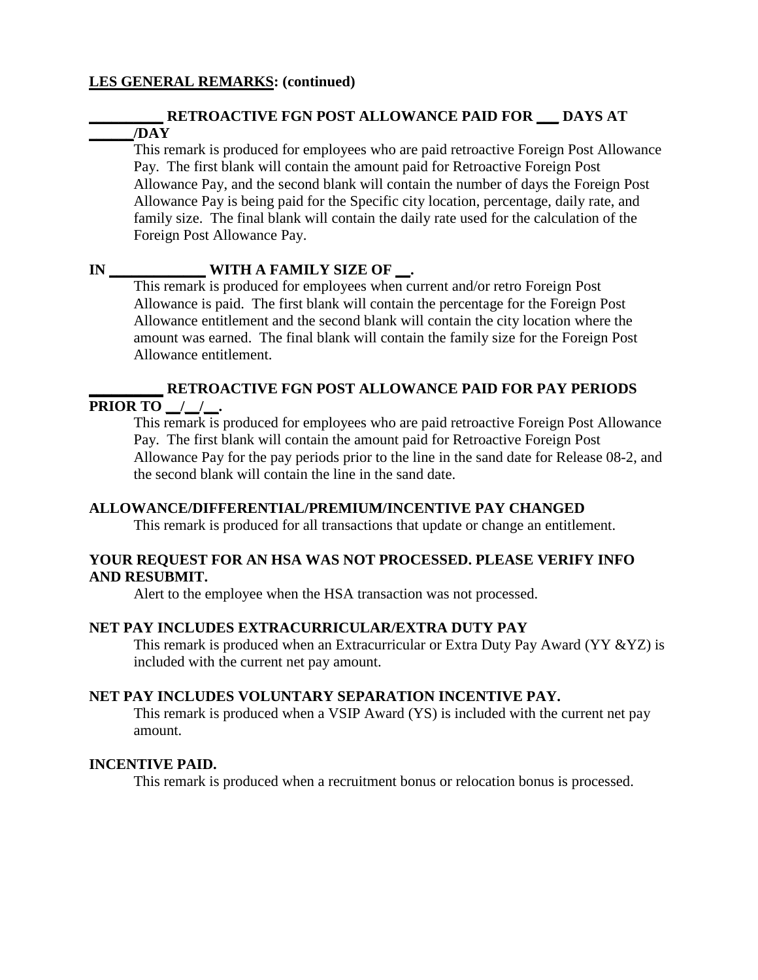#### **\_\_\_\_\_\_\_\_\_\_ RETROACTIVE FGN POST ALLOWANCE PAID FOR \_\_\_ DAYS AT \_\_\_\_\_\_/DAY**

This remark is produced for employees who are paid retroactive Foreign Post Allowance Pay. The first blank will contain the amount paid for Retroactive Foreign Post Allowance Pay, and the second blank will contain the number of days the Foreign Post Allowance Pay is being paid for the Specific city location, percentage, daily rate, and family size. The final blank will contain the daily rate used for the calculation of the Foreign Post Allowance Pay.

#### **IN WITH A FAMILY SIZE OF .**

This remark is produced for employees when current and/or retro Foreign Post Allowance is paid. The first blank will contain the percentage for the Foreign Post Allowance entitlement and the second blank will contain the city location where the amount was earned. The final blank will contain the family size for the Foreign Post Allowance entitlement.

#### **\_\_\_\_\_\_\_\_\_\_ RETROACTIVE FGN POST ALLOWANCE PAID FOR PAY PERIODS**

#### **PRIOR TO** / / .

This remark is produced for employees who are paid retroactive Foreign Post Allowance Pay. The first blank will contain the amount paid for Retroactive Foreign Post Allowance Pay for the pay periods prior to the line in the sand date for Release 08-2, and the second blank will contain the line in the sand date.

#### **ALLOWANCE/DIFFERENTIAL/PREMIUM/INCENTIVE PAY CHANGED**

This remark is produced for all transactions that update or change an entitlement.

#### **YOUR REQUEST FOR AN HSA WAS NOT PROCESSED. PLEASE VERIFY INFO AND RESUBMIT.**

Alert to the employee when the HSA transaction was not processed.

#### **NET PAY INCLUDES EXTRACURRICULAR/EXTRA DUTY PAY**

This remark is produced when an Extracurricular or Extra Duty Pay Award (YY &YZ) is included with the current net pay amount.

#### **NET PAY INCLUDES VOLUNTARY SEPARATION INCENTIVE PAY.**

This remark is produced when a VSIP Award (YS) is included with the current net pay amount.

#### **INCENTIVE PAID.**

This remark is produced when a recruitment bonus or relocation bonus is processed.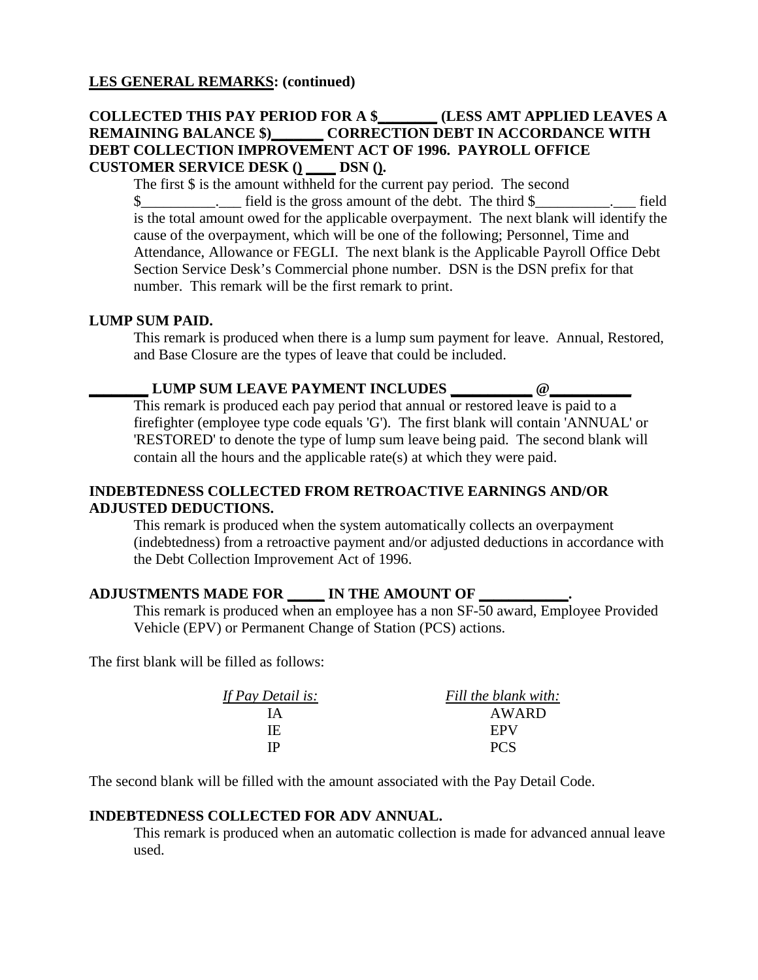#### **COLLECTED THIS PAY PERIOD FOR A \$\_\_\_\_\_\_\_\_ (LESS AMT APPLIED LEAVES A REMAINING BALANCE \$)\_\_\_\_\_\_\_ CORRECTION DEBT IN ACCORDANCE WITH DEBT COLLECTION IMPROVEMENT ACT OF 1996. PAYROLL OFFICE CUSTOMER SERVICE DESK () \_\_\_\_ DSN ().**

The first \$ is the amount withheld for the current pay period. The second  $\$\quad$  field is the gross amount of the debt. The third  $\$\quad$  field is the total amount owed for the applicable overpayment. The next blank will identify the cause of the overpayment, which will be one of the following; Personnel, Time and Attendance, Allowance or FEGLI. The next blank is the Applicable Payroll Office Debt Section Service Desk's Commercial phone number. DSN is the DSN prefix for that number. This remark will be the first remark to print.

#### **LUMP SUM PAID.**

This remark is produced when there is a lump sum payment for leave. Annual, Restored, and Base Closure are the types of leave that could be included.

#### LUMP SUM LEAVE PAYMENT INCLUDES \_\_\_\_\_\_\_\_\_ @\_\_\_

This remark is produced each pay period that annual or restored leave is paid to a firefighter (employee type code equals 'G'). The first blank will contain 'ANNUAL' or 'RESTORED' to denote the type of lump sum leave being paid. The second blank will contain all the hours and the applicable rate(s) at which they were paid.

#### **INDEBTEDNESS COLLECTED FROM RETROACTIVE EARNINGS AND/OR ADJUSTED DEDUCTIONS.**

This remark is produced when the system automatically collects an overpayment (indebtedness) from a retroactive payment and/or adjusted deductions in accordance with the Debt Collection Improvement Act of 1996.

#### **ADJUSTMENTS MADE FOR \_\_\_\_\_ IN THE AMOUNT OF \_\_\_\_\_\_\_\_\_\_\_\_.**

This remark is produced when an employee has a non SF-50 award, Employee Provided Vehicle (EPV) or Permanent Change of Station (PCS) actions.

The first blank will be filled as follows:

| If Pay Detail is: | Fill the blank with: |
|-------------------|----------------------|
| <b>IA</b>         | AWARD                |
| IF.               | EPV                  |
| ΙP                | <b>PCS</b>           |
|                   |                      |

The second blank will be filled with the amount associated with the Pay Detail Code.

#### **INDEBTEDNESS COLLECTED FOR ADV ANNUAL.**

This remark is produced when an automatic collection is made for advanced annual leave used.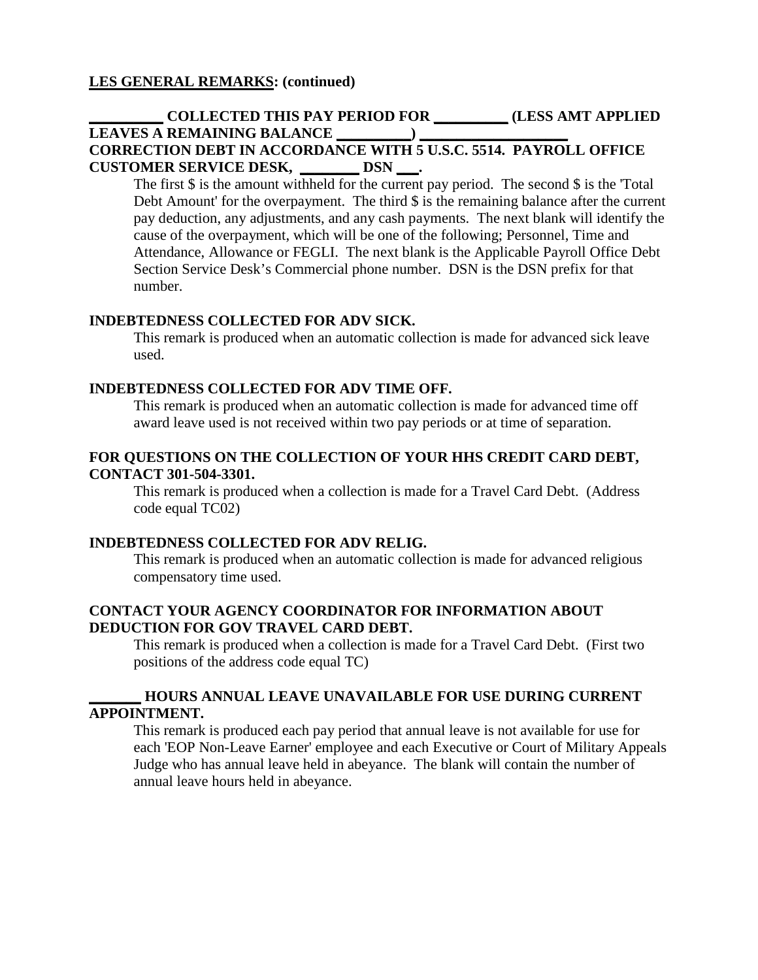#### **\_\_\_\_\_\_\_\_\_\_ COLLECTED THIS PAY PERIOD FOR \_\_\_\_\_\_\_\_\_\_ (LESS AMT APPLIED LEAVES A REMAINING BALANCE \_\_\_\_\_\_\_\_\_\_) \_\_\_\_\_\_\_\_\_\_\_\_\_\_\_\_\_\_\_\_ CORRECTION DEBT IN ACCORDANCE WITH 5 U.S.C. 5514. PAYROLL OFFICE CUSTOMER SERVICE DESK, \_\_\_\_\_\_\_\_ DSN \_\_\_.**

The first  $\frac{1}{2}$  is the amount withheld for the current pay period. The second  $\frac{1}{2}$  is the 'Total' Debt Amount' for the overpayment. The third  $\hat{\mathbf{S}}$  is the remaining balance after the current pay deduction, any adjustments, and any cash payments. The next blank will identify the cause of the overpayment, which will be one of the following; Personnel, Time and Attendance, Allowance or FEGLI. The next blank is the Applicable Payroll Office Debt Section Service Desk's Commercial phone number. DSN is the DSN prefix for that number.

#### **INDEBTEDNESS COLLECTED FOR ADV SICK.**

This remark is produced when an automatic collection is made for advanced sick leave used.

#### **INDEBTEDNESS COLLECTED FOR ADV TIME OFF.**

This remark is produced when an automatic collection is made for advanced time off award leave used is not received within two pay periods or at time of separation.

#### **FOR QUESTIONS ON THE COLLECTION OF YOUR HHS CREDIT CARD DEBT, CONTACT 301-504-3301.**

This remark is produced when a collection is made for a Travel Card Debt. (Address code equal TC02)

#### **INDEBTEDNESS COLLECTED FOR ADV RELIG.**

This remark is produced when an automatic collection is made for advanced religious compensatory time used.

#### **CONTACT YOUR AGENCY COORDINATOR FOR INFORMATION ABOUT DEDUCTION FOR GOV TRAVEL CARD DEBT.**

This remark is produced when a collection is made for a Travel Card Debt. (First two positions of the address code equal TC)

#### **\_\_\_\_\_\_\_ HOURS ANNUAL LEAVE UNAVAILABLE FOR USE DURING CURRENT APPOINTMENT.**

This remark is produced each pay period that annual leave is not available for use for each 'EOP Non-Leave Earner' employee and each Executive or Court of Military Appeals Judge who has annual leave held in abeyance. The blank will contain the number of annual leave hours held in abeyance.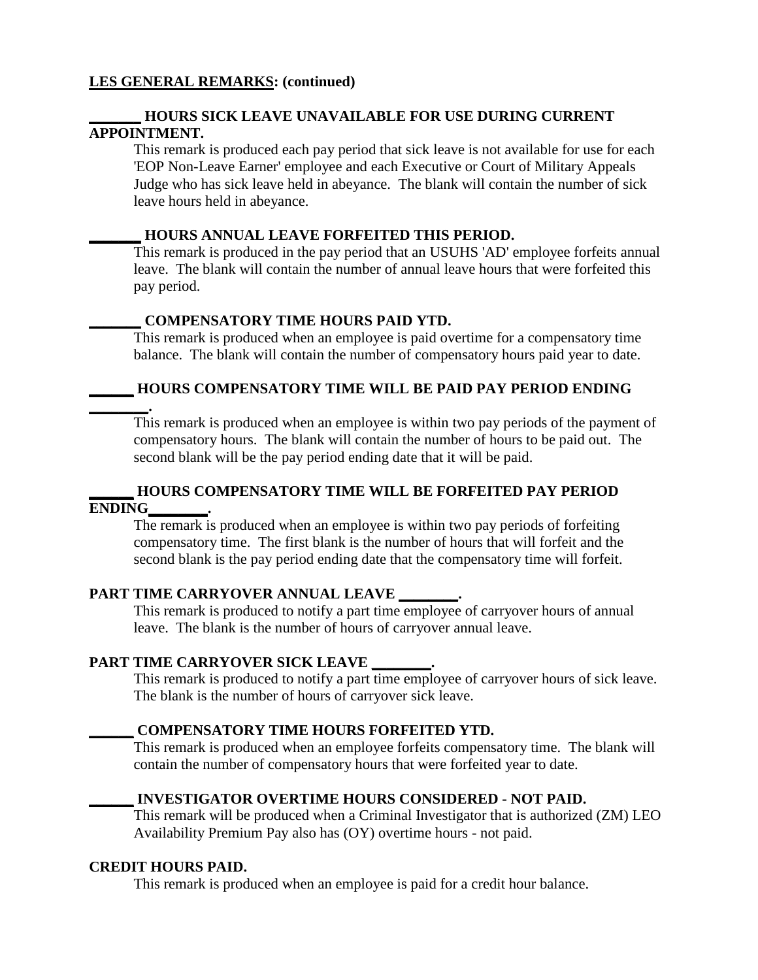#### **\_\_\_\_\_\_\_ HOURS SICK LEAVE UNAVAILABLE FOR USE DURING CURRENT APPOINTMENT.**

This remark is produced each pay period that sick leave is not available for use for each 'EOP Non-Leave Earner' employee and each Executive or Court of Military Appeals Judge who has sick leave held in abeyance. The blank will contain the number of sick leave hours held in abeyance.

#### **\_\_\_\_\_\_\_ HOURS ANNUAL LEAVE FORFEITED THIS PERIOD.**

This remark is produced in the pay period that an USUHS 'AD' employee forfeits annual leave. The blank will contain the number of annual leave hours that were forfeited this pay period.

#### **\_\_\_\_\_\_\_ COMPENSATORY TIME HOURS PAID YTD.**

This remark is produced when an employee is paid overtime for a compensatory time balance. The blank will contain the number of compensatory hours paid year to date.

#### **\_\_\_\_\_\_ HOURS COMPENSATORY TIME WILL BE PAID PAY PERIOD ENDING**

**\_\_\_\_\_\_\_\_.** This remark is produced when an employee is within two pay periods of the payment of compensatory hours. The blank will contain the number of hours to be paid out. The second blank will be the pay period ending date that it will be paid.

#### **\_\_\_\_\_\_ HOURS COMPENSATORY TIME WILL BE FORFEITED PAY PERIOD ENDING\_\_\_\_\_\_\_\_.**

The remark is produced when an employee is within two pay periods of forfeiting compensatory time. The first blank is the number of hours that will forfeit and the second blank is the pay period ending date that the compensatory time will forfeit.

#### **PART TIME CARRYOVER ANNUAL LEAVE \_\_\_\_\_\_\_\_.**

This remark is produced to notify a part time employee of carryover hours of annual leave. The blank is the number of hours of carryover annual leave.

#### **PART TIME CARRYOVER SICK LEAVE \_\_\_\_\_\_\_\_.**

This remark is produced to notify a part time employee of carryover hours of sick leave. The blank is the number of hours of carryover sick leave.

#### **\_\_\_\_\_\_ COMPENSATORY TIME HOURS FORFEITED YTD.**

This remark is produced when an employee forfeits compensatory time. The blank will contain the number of compensatory hours that were forfeited year to date.

#### **\_\_\_\_\_\_ INVESTIGATOR OVERTIME HOURS CONSIDERED - NOT PAID.**

This remark will be produced when a Criminal Investigator that is authorized (ZM) LEO Availability Premium Pay also has (OY) overtime hours - not paid.

#### **CREDIT HOURS PAID.**

This remark is produced when an employee is paid for a credit hour balance.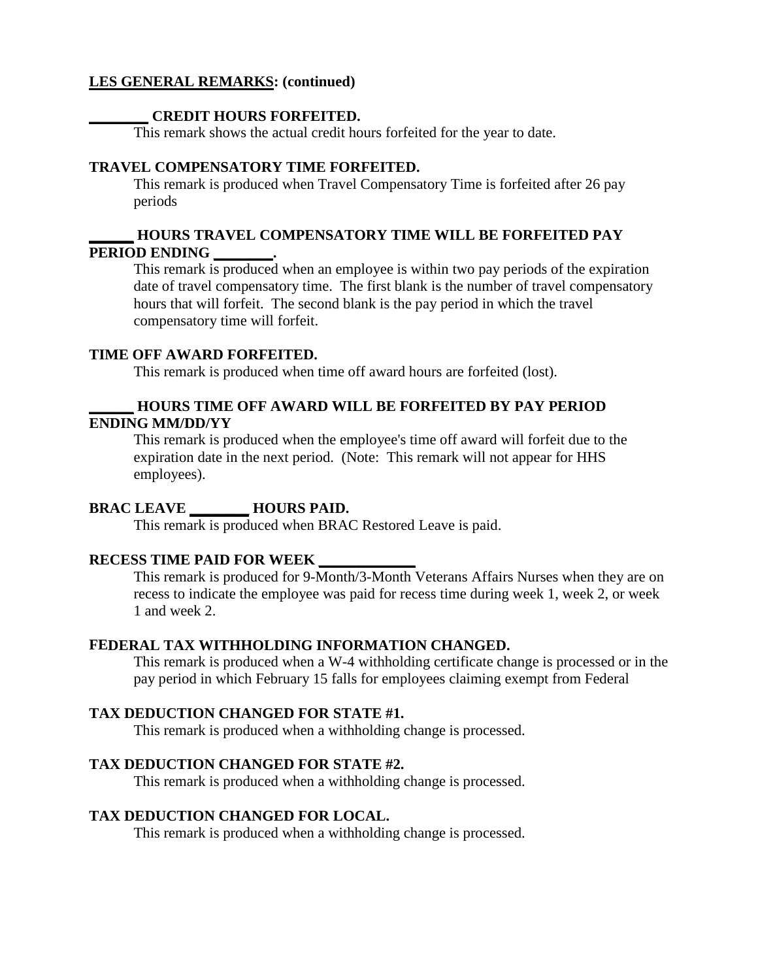#### **\_\_\_\_\_\_\_\_ CREDIT HOURS FORFEITED.**

This remark shows the actual credit hours forfeited for the year to date.

#### **TRAVEL COMPENSATORY TIME FORFEITED.**

This remark is produced when Travel Compensatory Time is forfeited after 26 pay periods

#### **\_\_\_\_\_\_ HOURS TRAVEL COMPENSATORY TIME WILL BE FORFEITED PAY PERIOD ENDING \_\_\_\_\_\_\_\_.**

This remark is produced when an employee is within two pay periods of the expiration date of travel compensatory time. The first blank is the number of travel compensatory hours that will forfeit. The second blank is the pay period in which the travel compensatory time will forfeit.

#### **TIME OFF AWARD FORFEITED.**

This remark is produced when time off award hours are forfeited (lost).

#### **\_\_\_\_\_\_ HOURS TIME OFF AWARD WILL BE FORFEITED BY PAY PERIOD ENDING MM/DD/YY**

This remark is produced when the employee's time off award will forfeit due to the expiration date in the next period. (Note: This remark will not appear for HHS employees).

#### **BRAC LEAVE \_\_\_\_\_\_\_\_ HOURS PAID.**

This remark is produced when BRAC Restored Leave is paid.

#### **RECESS TIME PAID FOR WEEK \_\_\_\_\_\_\_\_\_\_\_\_\_**

This remark is produced for 9-Month/3-Month Veterans Affairs Nurses when they are on recess to indicate the employee was paid for recess time during week 1, week 2, or week 1 and week 2.

#### **FEDERAL TAX WITHHOLDING INFORMATION CHANGED.**

This remark is produced when a W-4 withholding certificate change is processed or in the pay period in which February 15 falls for employees claiming exempt from Federal

#### **TAX DEDUCTION CHANGED FOR STATE #1.**

This remark is produced when a withholding change is processed.

#### **TAX DEDUCTION CHANGED FOR STATE #2.**

This remark is produced when a withholding change is processed.

#### **TAX DEDUCTION CHANGED FOR LOCAL.**

This remark is produced when a withholding change is processed.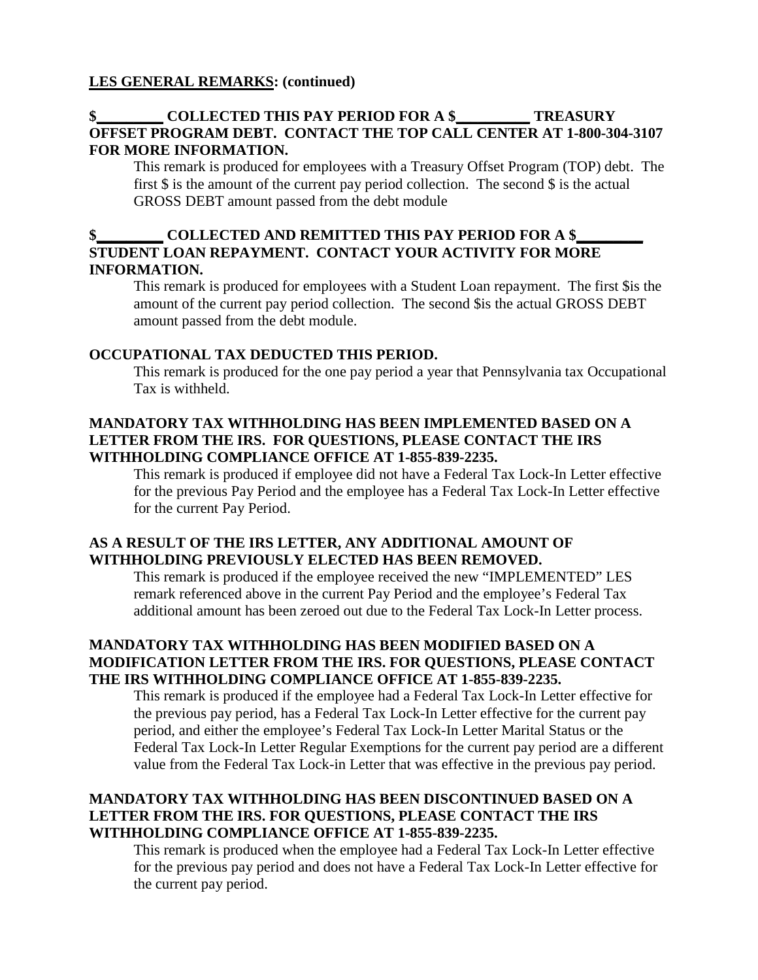#### **\$\_\_\_\_\_\_\_\_\_ COLLECTED THIS PAY PERIOD FOR A \$\_\_\_\_\_\_\_\_\_\_ TREASURY OFFSET PROGRAM DEBT. CONTACT THE TOP CALL CENTER AT 1-800-304-3107 FOR MORE INFORMATION.**

This remark is produced for employees with a Treasury Offset Program (TOP) debt. The first  $\frac{1}{2}$  is the amount of the current pay period collection. The second  $\frac{1}{2}$  is the actual GROSS DEBT amount passed from the debt module

#### **COLLECTED AND REMITTED THIS PAY PERIOD FOR A \$\_ STUDENT LOAN REPAYMENT. CONTACT YOUR ACTIVITY FOR MORE INFORMATION.**

This remark is produced for employees with a Student Loan repayment. The first \$is the amount of the current pay period collection. The second \$is the actual GROSS DEBT amount passed from the debt module.

#### **OCCUPATIONAL TAX DEDUCTED THIS PERIOD.**

This remark is produced for the one pay period a year that Pennsylvania tax Occupational Tax is withheld.

#### **MANDATORY TAX WITHHOLDING HAS BEEN IMPLEMENTED BASED ON A LETTER FROM THE IRS. FOR QUESTIONS, PLEASE CONTACT THE IRS WITHHOLDING COMPLIANCE OFFICE AT 1-855-839-2235.**

This remark is produced if employee did not have a Federal Tax Lock-In Letter effective for the previous Pay Period and the employee has a Federal Tax Lock-In Letter effective for the current Pay Period.

#### **AS A RESULT OF THE IRS LETTER, ANY ADDITIONAL AMOUNT OF WITHHOLDING PREVIOUSLY ELECTED HAS BEEN REMOVED.**

This remark is produced if the employee received the new "IMPLEMENTED" LES remark referenced above in the current Pay Period and the employee's Federal Tax additional amount has been zeroed out due to the Federal Tax Lock-In Letter process.

#### **MANDATORY TAX WITHHOLDING HAS BEEN MODIFIED BASED ON A MODIFICATION LETTER FROM THE IRS. FOR QUESTIONS, PLEASE CONTACT THE IRS WITHHOLDING COMPLIANCE OFFICE AT 1-855-839-2235.**

This remark is produced if the employee had a Federal Tax Lock-In Letter effective for the previous pay period, has a Federal Tax Lock-In Letter effective for the current pay period, and either the employee's Federal Tax Lock-In Letter Marital Status or the Federal Tax Lock-In Letter Regular Exemptions for the current pay period are a different value from the Federal Tax Lock-in Letter that was effective in the previous pay period.

#### **MANDATORY TAX WITHHOLDING HAS BEEN DISCONTINUED BASED ON A LETTER FROM THE IRS. FOR QUESTIONS, PLEASE CONTACT THE IRS WITHHOLDING COMPLIANCE OFFICE AT 1-855-839-2235.**

This remark is produced when the employee had a Federal Tax Lock-In Letter effective for the previous pay period and does not have a Federal Tax Lock-In Letter effective for the current pay period.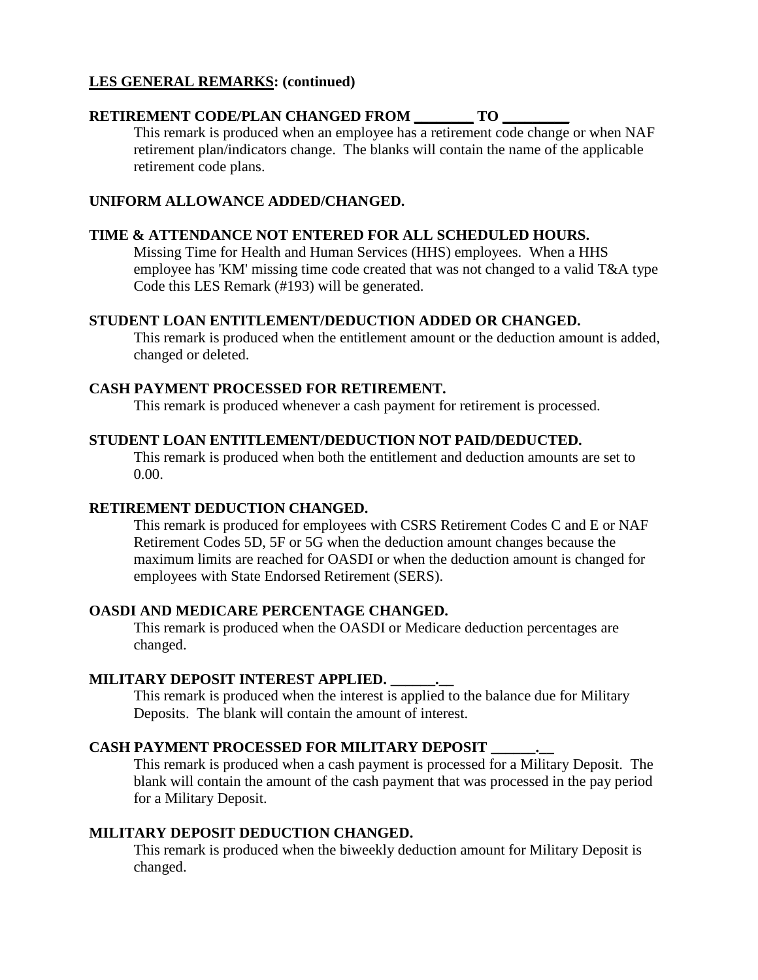#### **RETIREMENT CODE/PLAN CHANGED FROM \_\_\_\_\_\_\_\_ TO \_\_\_\_\_\_\_\_\_**

This remark is produced when an employee has a retirement code change or when NAF retirement plan/indicators change. The blanks will contain the name of the applicable retirement code plans.

#### **UNIFORM ALLOWANCE ADDED/CHANGED.**

#### **TIME & ATTENDANCE NOT ENTERED FOR ALL SCHEDULED HOURS.**

Missing Time for Health and Human Services (HHS) employees. When a HHS employee has 'KM' missing time code created that was not changed to a valid T&A type Code this LES Remark (#193) will be generated.

#### **STUDENT LOAN ENTITLEMENT/DEDUCTION ADDED OR CHANGED.**

This remark is produced when the entitlement amount or the deduction amount is added, changed or deleted.

#### **CASH PAYMENT PROCESSED FOR RETIREMENT.**

This remark is produced whenever a cash payment for retirement is processed.

#### **STUDENT LOAN ENTITLEMENT/DEDUCTION NOT PAID/DEDUCTED.**

This remark is produced when both the entitlement and deduction amounts are set to 0.00.

#### **RETIREMENT DEDUCTION CHANGED.**

This remark is produced for employees with CSRS Retirement Codes C and E or NAF Retirement Codes 5D, 5F or 5G when the deduction amount changes because the maximum limits are reached for OASDI or when the deduction amount is changed for employees with State Endorsed Retirement (SERS).

#### **OASDI AND MEDICARE PERCENTAGE CHANGED.**

This remark is produced when the OASDI or Medicare deduction percentages are changed.

#### **MILITARY DEPOSIT INTEREST APPLIED. \_\_\_\_\_\_.\_\_**

This remark is produced when the interest is applied to the balance due for Military Deposits. The blank will contain the amount of interest.

#### **CASH PAYMENT PROCESSED FOR MILITARY DEPOSIT \_\_\_\_\_\_.\_\_**

This remark is produced when a cash payment is processed for a Military Deposit. The blank will contain the amount of the cash payment that was processed in the pay period for a Military Deposit.

#### **MILITARY DEPOSIT DEDUCTION CHANGED.**

This remark is produced when the biweekly deduction amount for Military Deposit is changed.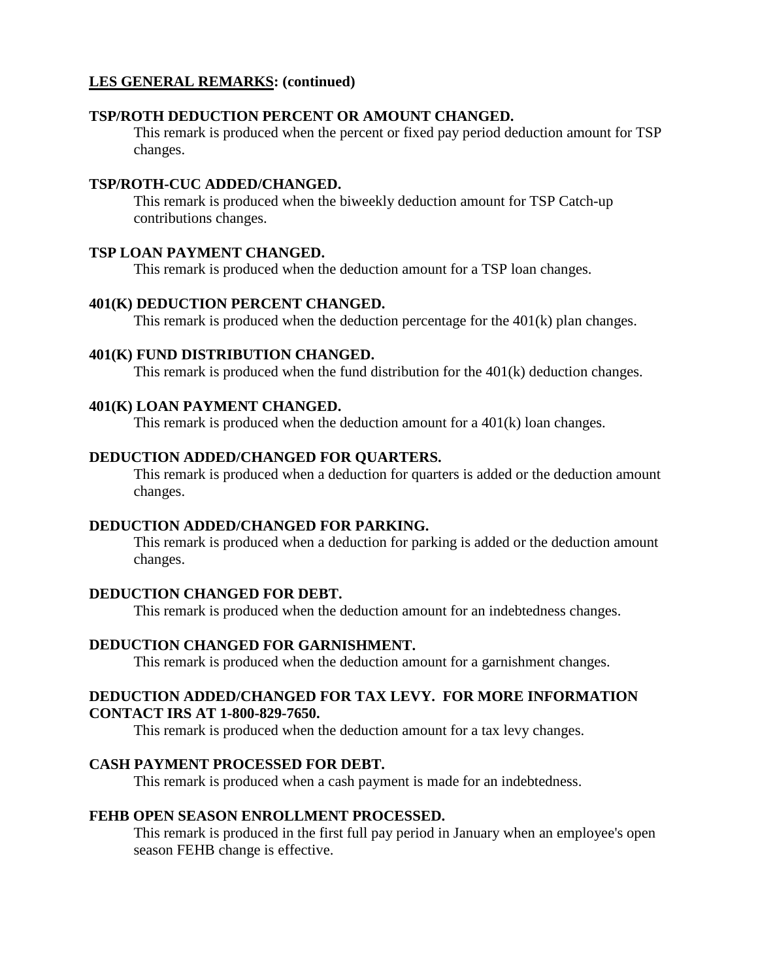#### **TSP/ROTH DEDUCTION PERCENT OR AMOUNT CHANGED.**

This remark is produced when the percent or fixed pay period deduction amount for TSP changes.

#### **TSP/ROTH-CUC ADDED/CHANGED.**

This remark is produced when the biweekly deduction amount for TSP Catch-up contributions changes.

#### **TSP LOAN PAYMENT CHANGED.**

This remark is produced when the deduction amount for a TSP loan changes.

#### **401(K) DEDUCTION PERCENT CHANGED.**

This remark is produced when the deduction percentage for the 401(k) plan changes.

#### **401(K) FUND DISTRIBUTION CHANGED.**

This remark is produced when the fund distribution for the 401(k) deduction changes.

#### **401(K) LOAN PAYMENT CHANGED.**

This remark is produced when the deduction amount for a 401(k) loan changes.

#### **DEDUCTION ADDED/CHANGED FOR QUARTERS.**

This remark is produced when a deduction for quarters is added or the deduction amount changes.

#### **DEDUCTION ADDED/CHANGED FOR PARKING.**

This remark is produced when a deduction for parking is added or the deduction amount changes.

#### **DEDUCTION CHANGED FOR DEBT.**

This remark is produced when the deduction amount for an indebtedness changes.

#### **DEDUCTION CHANGED FOR GARNISHMENT.**

This remark is produced when the deduction amount for a garnishment changes.

#### **DEDUCTION ADDED/CHANGED FOR TAX LEVY. FOR MORE INFORMATION CONTACT IRS AT 1-800-829-7650.**

This remark is produced when the deduction amount for a tax levy changes.

#### **CASH PAYMENT PROCESSED FOR DEBT.**

This remark is produced when a cash payment is made for an indebtedness.

#### **FEHB OPEN SEASON ENROLLMENT PROCESSED.**

This remark is produced in the first full pay period in January when an employee's open season FEHB change is effective.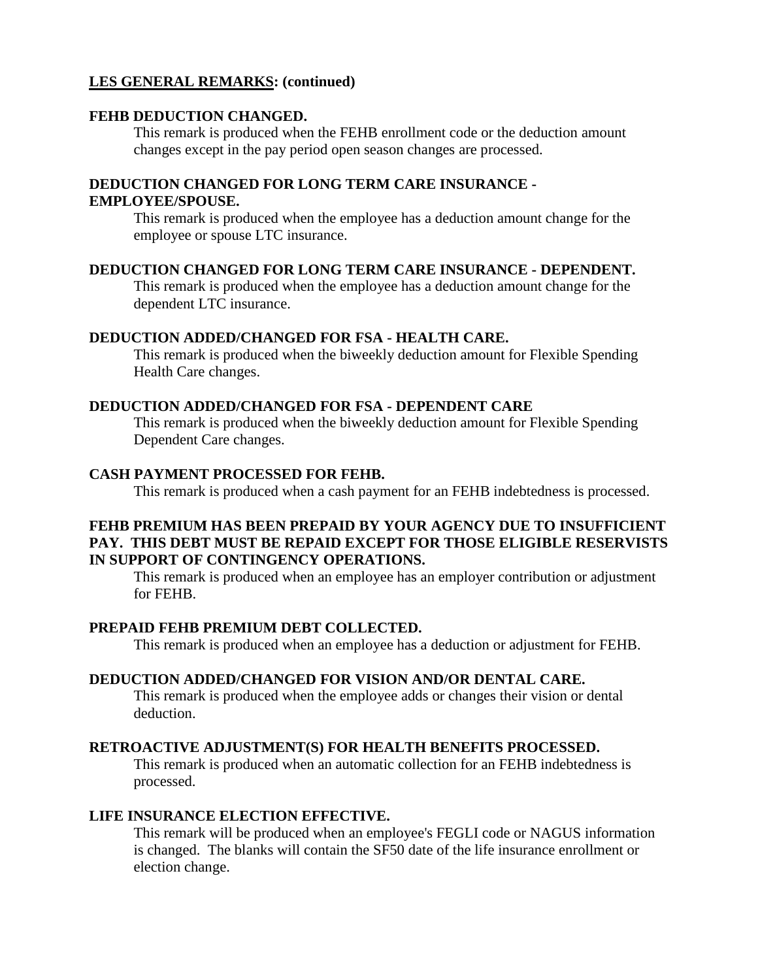#### **FEHB DEDUCTION CHANGED.**

This remark is produced when the FEHB enrollment code or the deduction amount changes except in the pay period open season changes are processed.

# **DEDUCTION CHANGED FOR LONG TERM CARE INSURANCE -**

#### **EMPLOYEE/SPOUSE.**

This remark is produced when the employee has a deduction amount change for the employee or spouse LTC insurance.

#### **DEDUCTION CHANGED FOR LONG TERM CARE INSURANCE - DEPENDENT.**

This remark is produced when the employee has a deduction amount change for the dependent LTC insurance.

#### **DEDUCTION ADDED/CHANGED FOR FSA - HEALTH CARE.**

This remark is produced when the biweekly deduction amount for Flexible Spending Health Care changes.

#### **DEDUCTION ADDED/CHANGED FOR FSA - DEPENDENT CARE**

This remark is produced when the biweekly deduction amount for Flexible Spending Dependent Care changes.

#### **CASH PAYMENT PROCESSED FOR FEHB.**

This remark is produced when a cash payment for an FEHB indebtedness is processed.

#### **FEHB PREMIUM HAS BEEN PREPAID BY YOUR AGENCY DUE TO INSUFFICIENT PAY. THIS DEBT MUST BE REPAID EXCEPT FOR THOSE ELIGIBLE RESERVISTS IN SUPPORT OF CONTINGENCY OPERATIONS.**

This remark is produced when an employee has an employer contribution or adjustment for FEHB.

#### **PREPAID FEHB PREMIUM DEBT COLLECTED.**

This remark is produced when an employee has a deduction or adjustment for FEHB.

#### **DEDUCTION ADDED/CHANGED FOR VISION AND/OR DENTAL CARE.**

This remark is produced when the employee adds or changes their vision or dental deduction.

#### **RETROACTIVE ADJUSTMENT(S) FOR HEALTH BENEFITS PROCESSED.**

This remark is produced when an automatic collection for an FEHB indebtedness is processed.

#### **LIFE INSURANCE ELECTION EFFECTIVE.**

This remark will be produced when an employee's FEGLI code or NAGUS information is changed. The blanks will contain the SF50 date of the life insurance enrollment or election change.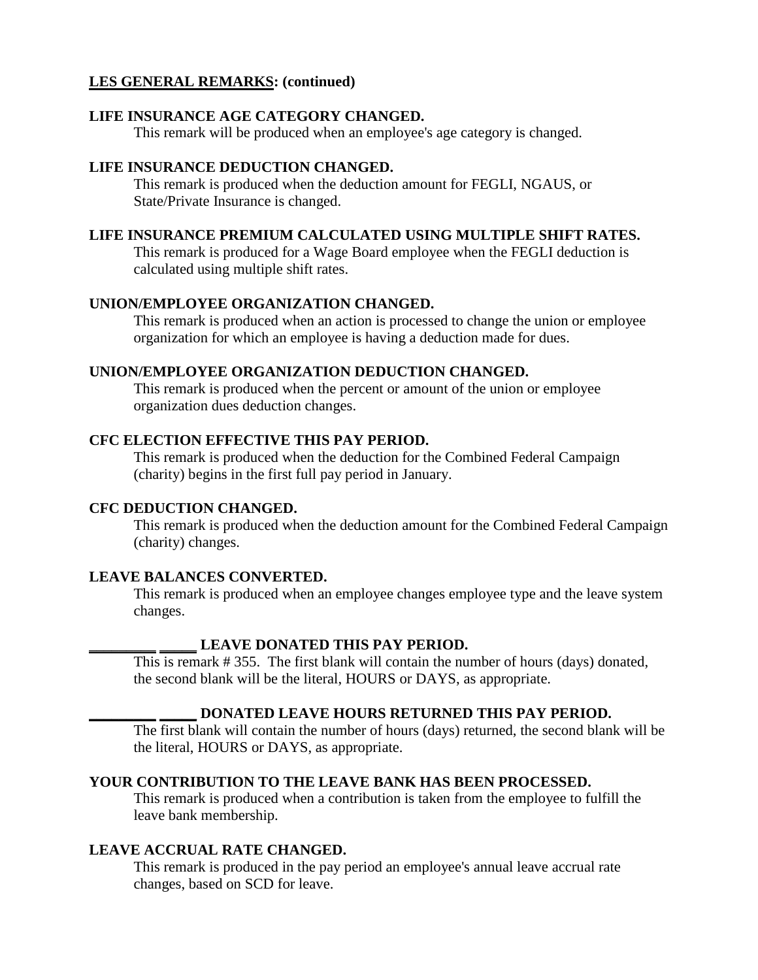#### **LIFE INSURANCE AGE CATEGORY CHANGED.**

This remark will be produced when an employee's age category is changed.

#### **LIFE INSURANCE DEDUCTION CHANGED.**

This remark is produced when the deduction amount for FEGLI, NGAUS, or State/Private Insurance is changed.

#### **LIFE INSURANCE PREMIUM CALCULATED USING MULTIPLE SHIFT RATES.**

This remark is produced for a Wage Board employee when the FEGLI deduction is calculated using multiple shift rates.

#### **UNION/EMPLOYEE ORGANIZATION CHANGED.**

This remark is produced when an action is processed to change the union or employee organization for which an employee is having a deduction made for dues.

#### **UNION/EMPLOYEE ORGANIZATION DEDUCTION CHANGED.**

This remark is produced when the percent or amount of the union or employee organization dues deduction changes.

#### **CFC ELECTION EFFECTIVE THIS PAY PERIOD.**

This remark is produced when the deduction for the Combined Federal Campaign (charity) begins in the first full pay period in January.

#### **CFC DEDUCTION CHANGED.**

This remark is produced when the deduction amount for the Combined Federal Campaign (charity) changes.

#### **LEAVE BALANCES CONVERTED.**

This remark is produced when an employee changes employee type and the leave system changes.

#### **\_\_\_\_\_\_\_\_\_ \_\_\_\_\_ LEAVE DONATED THIS PAY PERIOD.**

This is remark # 355. The first blank will contain the number of hours (days) donated, the second blank will be the literal, HOURS or DAYS, as appropriate.

#### **\_\_\_\_\_\_\_\_\_ \_\_\_\_\_ DONATED LEAVE HOURS RETURNED THIS PAY PERIOD.**

The first blank will contain the number of hours (days) returned, the second blank will be the literal, HOURS or DAYS, as appropriate.

#### **YOUR CONTRIBUTION TO THE LEAVE BANK HAS BEEN PROCESSED.**

This remark is produced when a contribution is taken from the employee to fulfill the leave bank membership.

#### **LEAVE ACCRUAL RATE CHANGED.**

This remark is produced in the pay period an employee's annual leave accrual rate changes, based on SCD for leave.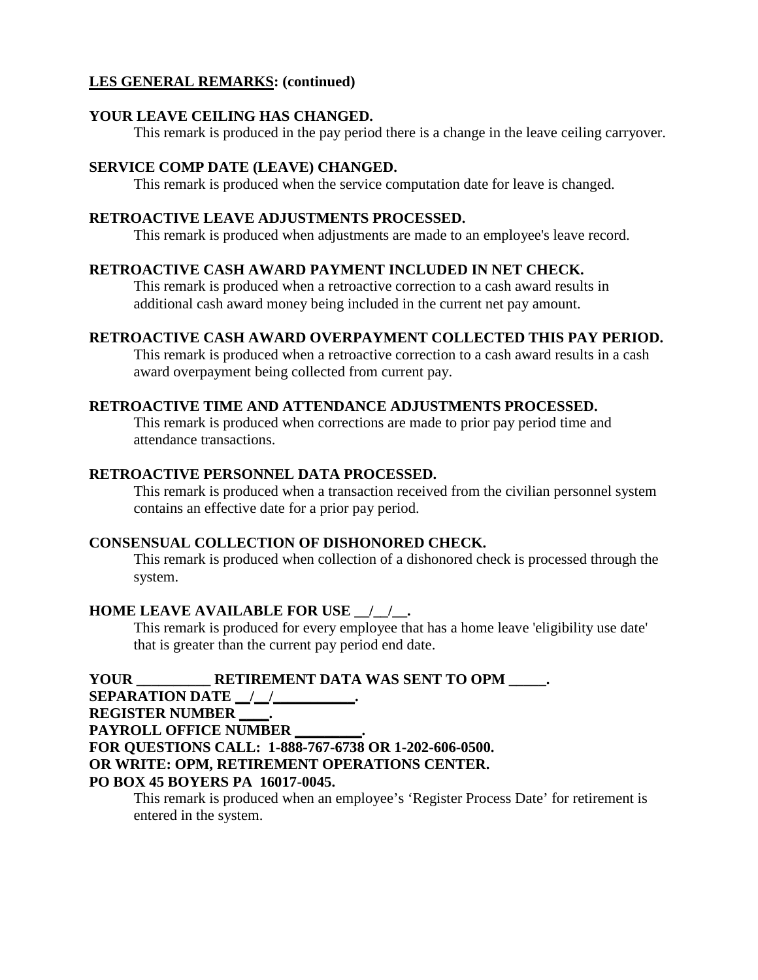#### **YOUR LEAVE CEILING HAS CHANGED.**

This remark is produced in the pay period there is a change in the leave ceiling carryover.

#### **SERVICE COMP DATE (LEAVE) CHANGED.**

This remark is produced when the service computation date for leave is changed.

#### **RETROACTIVE LEAVE ADJUSTMENTS PROCESSED.**

This remark is produced when adjustments are made to an employee's leave record.

#### **RETROACTIVE CASH AWARD PAYMENT INCLUDED IN NET CHECK.**

This remark is produced when a retroactive correction to a cash award results in additional cash award money being included in the current net pay amount.

#### **RETROACTIVE CASH AWARD OVERPAYMENT COLLECTED THIS PAY PERIOD.**

This remark is produced when a retroactive correction to a cash award results in a cash award overpayment being collected from current pay.

#### **RETROACTIVE TIME AND ATTENDANCE ADJUSTMENTS PROCESSED.**

This remark is produced when corrections are made to prior pay period time and attendance transactions.

#### **RETROACTIVE PERSONNEL DATA PROCESSED.**

This remark is produced when a transaction received from the civilian personnel system contains an effective date for a prior pay period.

#### **CONSENSUAL COLLECTION OF DISHONORED CHECK.**

This remark is produced when collection of a dishonored check is processed through the system.

#### **HOME LEAVE AVAILABLE FOR USE \_\_/\_\_/\_\_.**

This remark is produced for every employee that has a home leave 'eligibility use date' that is greater than the current pay period end date.

**YOUR \_\_\_\_\_\_\_\_\_\_ RETIREMENT DATA WAS SENT TO OPM \_\_\_\_\_. SEPARATION DATE** | | | **REGISTER NUMBER \_\_\_\_. PAYROLL OFFICE NUMBER \_\_\_\_\_\_\_\_\_. FOR QUESTIONS CALL: 1-888-767-6738 OR 1-202-606-0500. OR WRITE: OPM, RETIREMENT OPERATIONS CENTER. PO BOX 45 BOYERS PA 16017-0045.** 

This remark is produced when an employee's 'Register Process Date' for retirement is entered in the system.